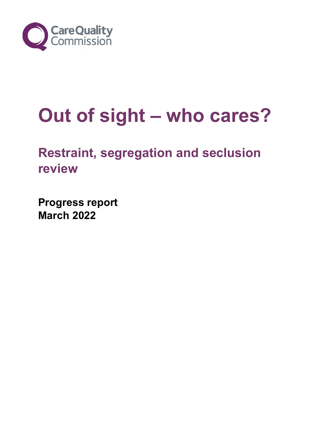

# **Out of sight – who cares?**

# **Restraint, segregation and seclusion review**

**Progress report March 2022**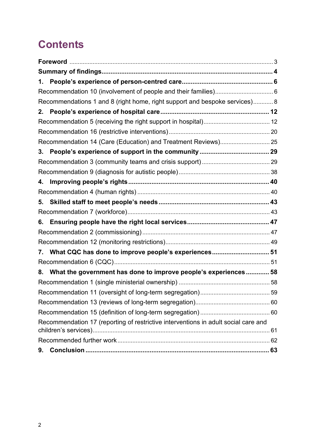# **Contents**

| 1. |                                                                                    |  |
|----|------------------------------------------------------------------------------------|--|
|    |                                                                                    |  |
|    | Recommendations 1 and 8 (right home, right support and bespoke services) 8         |  |
| 2. |                                                                                    |  |
|    |                                                                                    |  |
|    |                                                                                    |  |
|    | Recommendation 14 (Care (Education) and Treatment Reviews) 25                      |  |
| 3. |                                                                                    |  |
|    |                                                                                    |  |
|    |                                                                                    |  |
| 4. |                                                                                    |  |
|    |                                                                                    |  |
| 5. |                                                                                    |  |
|    |                                                                                    |  |
| 6. |                                                                                    |  |
|    |                                                                                    |  |
|    |                                                                                    |  |
| 7. | What CQC has done to improve people's experiences 51                               |  |
|    |                                                                                    |  |
| 8. | What the government has done to improve people's experiences 58                    |  |
|    |                                                                                    |  |
|    |                                                                                    |  |
|    |                                                                                    |  |
|    |                                                                                    |  |
|    | Recommendation 17 (reporting of restrictive interventions in adult social care and |  |
|    |                                                                                    |  |
|    |                                                                                    |  |
|    |                                                                                    |  |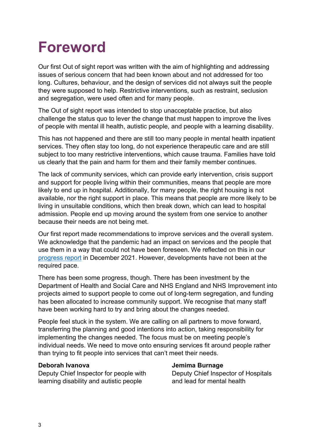# <span id="page-2-0"></span>**Foreword**

Our first Out of sight report was written with the aim of highlighting and addressing issues of serious concern that had been known about and not addressed for too long. Cultures, behaviour, and the design of services did not always suit the people they were supposed to help. Restrictive interventions, such as restraint, seclusion and segregation, were used often and for many people.

The Out of sight report was intended to stop unacceptable practice, but also challenge the status quo to lever the change that must happen to improve the lives of people with mental ill health, autistic people, and people with a learning disability.

This has not happened and there are still too many people in mental health inpatient services. They often stay too long, do not experience therapeutic care and are still subject to too many restrictive interventions, which cause trauma. Families have told us clearly that the pain and harm for them and their family member continues.

The lack of community services, which can provide early intervention, crisis support and support for people living within their communities, means that people are more likely to end up in hospital. Additionally, for many people, the right housing is not available, nor the right support in place. This means that people are more likely to be living in unsuitable conditions, which then break down, which can lead to hospital admission. People end up moving around the system from one service to another because their needs are not being met.

Our first report made recommendations to improve services and the overall system. We acknowledge that the pandemic had an impact on services and the people that use them in a way that could not have been foreseen. We reflected on this in ou[r](https://www.cqc.org.uk/publications/themed-work/restraint-segregation-seclusion-review-progress-report) [progress report](https://www.cqc.org.uk/publications/themed-work/restraint-segregation-seclusion-review-progress-report) in December 2021. However, developments have not been at the required pace.

There has been some progress, though. There has been investment by the Department of Health and Social Care and NHS England and NHS Improvement into projects aimed to support people to come out of long-term segregation, and funding has been allocated to increase community support. We recognise that many staff have been working hard to try and bring about the changes needed.

People feel stuck in the system. We are calling on all partners to move forward, transferring the planning and good intentions into action, taking responsibility for implementing the changes needed. The focus must be on meeting people's individual needs. We need to move onto ensuring services fit around people rather than trying to fit people into services that can't meet their needs.

#### **Deborah Ivanova Jemima Burnage**

Deputy Chief Inspector for people with Deputy Chief Inspector of Hospitals learning disability and autistic people and lead for mental health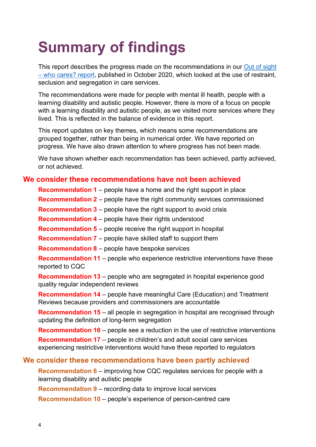# <span id="page-3-0"></span>**Summary of findings**

This report describes the progress made on the recommendations in our [Out of sight](https://www.cqc.org.uk/publications/themed-work/rssreview)  [– who cares? report,](https://www.cqc.org.uk/publications/themed-work/rssreview) published in October 2020, which looked at the use of restraint, seclusion and segregation in care services.

The recommendations were made for people with mental ill health, people with a learning disability and autistic people. However, there is more of a focus on people with a learning disability and autistic people, as we visited more services where they lived. This is reflected in the balance of evidence in this report.

This report updates on key themes, which means some recommendations are grouped together, rather than being in numerical order. We have reported on progress. We have also drawn attention to where progress has not been made.

We have shown whether each recommendation has been achieved, partly achieved, or not achieved.

#### **We consider these recommendations have not been achieved**

**Recommendation 1** – people have a home and the right support in place

**Recommendation 2** – people have the right community services commissioned

**Recommendation 3** – people have the right support to avoid crisis

**Recommendation 4** – people have their rights understood

**Recommendation 5** – people receive the right support in hospital

**Recommendation 7** – people have skilled staff to support them

**Recommendation 8** – people have bespoke services

**Recommendation 11** – people who experience restrictive interventions have these reported to CQC

**Recommendation 13** – people who are segregated in hospital experience good quality regular independent reviews

**Recommendation 14** – people have meaningful Care (Education) and Treatment Reviews because providers and commissioners are accountable

**Recommendation 15** – all people in segregation in hospital are recognised through updating the definition of long-term segregation

**Recommendation 16** – people see a reduction in the use of restrictive interventions

**Recommendation 17** – people in children's and adult social care services experiencing restrictive interventions would have these reported to regulators

#### **We consider these recommendations have been partly achieved**

**Recommendation 6** – improving how CQC regulates services for people with a learning disability and autistic people

**Recommendation 9** – recording data to improve local services

**Recommendation 10** – people's experience of person-centred care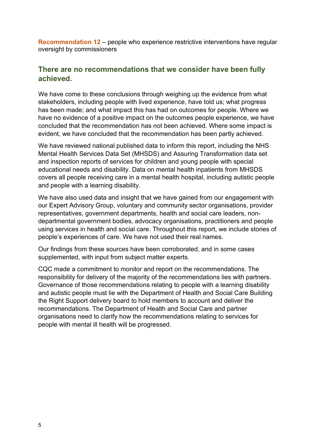**Recommendation 12** – people who experience restrictive interventions have regular oversight by commissioners

#### **There are no recommendations that we consider have been fully achieved.**

We have come to these conclusions through weighing up the evidence from what stakeholders, including people with lived experience, have told us; what progress has been made; and what impact this has had on outcomes for people. Where we have no evidence of a positive impact on the outcomes people experience, we have concluded that the recommendation has not been achieved. Where some impact is evident, we have concluded that the recommendation has been partly achieved.

We have reviewed national published data to inform this report, including the NHS Mental Health Services Data Set (MHSDS) and Assuring Transformation data set and inspection reports of services for children and young people with special educational needs and disability. Data on mental health inpatients from MHSDS covers all people receiving care in a mental health hospital, including autistic people and people with a learning disability.

We have also used data and insight that we have gained from our engagement with our Expert Advisory Group, voluntary and community sector organisations, provider representatives, government departments, health and social care leaders, nondepartmental government bodies, advocacy organisations, practitioners and people using services in health and social care. Throughout this report, we include stories of people's experiences of care. We have not used their real names.

Our findings from these sources have been corroborated, and in some cases supplemented, with input from subject matter experts.

CQC made a commitment to monitor and report on the recommendations. The responsibility for delivery of the majority of the recommendations lies with partners. Governance of those recommendations relating to people with a learning disability and autistic people must lie with the Department of Health and Social Care Building the Right Support delivery board to hold members to account and deliver the recommendations. The Department of Health and Social Care and partner organisations need to clarify how the recommendations relating to services for people with mental ill health will be progressed.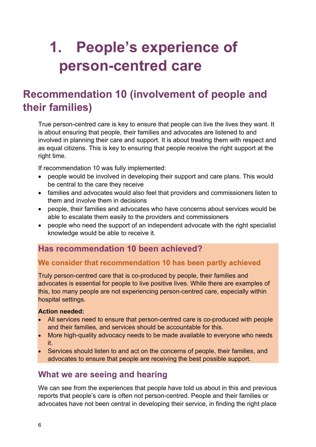# <span id="page-5-0"></span>**1. People's experience of person-centred care**

## <span id="page-5-1"></span>**Recommendation 10 (involvement of people and their families)**

True person-centred care is key to ensure that people can live the lives they want. It is about ensuring that people, their families and advocates are listened to and involved in planning their care and support. It is about treating them with respect and as equal citizens. This is key to ensuring that people receive the right support at the right time.

If recommendation 10 was fully implemented:

- people would be involved in developing their support and care plans. This would be central to the care they receive
- families and advocates would also feel that providers and commissioners listen to them and involve them in decisions
- people, their families and advocates who have concerns about services would be able to escalate them easily to the providers and commissioners
- people who need the support of an independent advocate with the right specialist knowledge would be able to receive it.

## **Has recommendation 10 been achieved?**

## **We consider that recommendation 10 has been partly achieved**

Truly person-centred care that is co-produced by people, their families and advocates is essential for people to live positive lives. While there are examples of this, too many people are not experiencing person-centred care, especially within hospital settings.

#### **Action needed:**

- All services need to ensure that person-centred care is co-produced with people and their families, and services should be accountable for this.
- More high-quality advocacy needs to be made available to everyone who needs it.
- Services should listen to and act on the concerns of people, their families, and advocates to ensure that people are receiving the best possible support.

## **What we are seeing and hearing**

We can see from the experiences that people have told us about in this and previous reports that people's care is often not person-centred. People and their families or advocates have not been central in developing their service, in finding the right place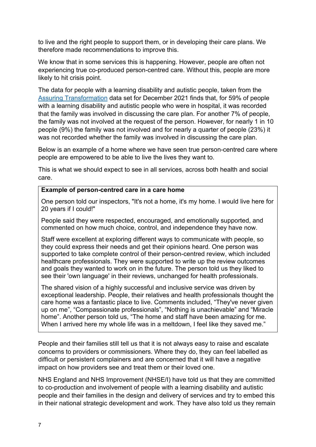to live and the right people to support them, or in developing their care plans. We therefore made recommendations to improve this.

We know that in some services this is happening. However, people are often not experiencing true co-produced person-centred care. Without this, people are more likely to hit crisis point.

The data for people with a learning disability and autistic people, taken from the [Assuring Transformation](https://digital.nhs.uk/data-and-information/publications/statistical/learning-disability-services-statistics/at-december-2021-mhsds-october-2021-final) data set for December 2021 finds that, for 59% of people with a learning disability and autistic people who were in hospital, it was recorded that the family was involved in discussing the care plan. For another 7% of people, the family was not involved at the request of the person. However, for nearly 1 in 10 people (9%) the family was not involved and for nearly a quarter of people (23%) it was not recorded whether the family was involved in discussing the care plan.

Below is an example of a home where we have seen true person-centred care where people are empowered to be able to live the lives they want to.

This is what we should expect to see in all services, across both health and social care.

#### **Example of person-centred care in a care home**

One person told our inspectors, "It's not a home, it's my home. I would live here for 20 years if I could!"

People said they were respected, encouraged, and emotionally supported, and commented on how much choice, control, and independence they have now.

Staff were excellent at exploring different ways to communicate with people, so they could express their needs and get their opinions heard. One person was supported to take complete control of their person-centred review, which included healthcare professionals. They were supported to write up the review outcomes and goals they wanted to work on in the future. The person told us they liked to see their 'own language' in their reviews, unchanged for health professionals.

The shared vision of a highly successful and inclusive service was driven by exceptional leadership. People, their relatives and health professionals thought the care home was a fantastic place to live. Comments included, "They've never given up on me", "Compassionate professionals", "Nothing is unachievable" and "Miracle home". Another person told us, "The home and staff have been amazing for me. When I arrived here my whole life was in a meltdown, I feel like they saved me."

People and their families still tell us that it is not always easy to raise and escalate concerns to providers or commissioners. Where they do, they can feel labelled as difficult or persistent complainers and are concerned that it will have a negative impact on how providers see and treat them or their loved one.

NHS England and NHS Improvement (NHSE/I) have told us that they are committed to co-production and involvement of people with a learning disability and autistic people and their families in the design and delivery of services and try to embed this in their national strategic development and work. They have also told us they remain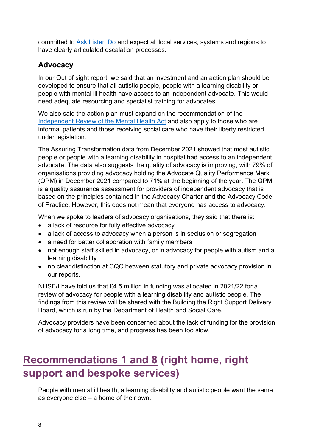committed to [Ask Listen Do](https://www.england.nhs.uk/learning-disabilities/about/ask-listen-do/) and expect all local services, systems and regions to have clearly articulated escalation processes.

## **Advocacy**

In our Out of sight report, we said that an investment and an action plan should be developed to ensure that all autistic people, people with a learning disability or people with mental ill health have access to an independent advocate. This would need adequate resourcing and specialist training for advocates.

We also said the action plan must expand on the recommendation of the [Independent Review of the Mental Health Act](https://www.gov.uk/government/publications/modernising-the-mental-health-act-final-report-from-the-independent-review) and also apply to those who are informal patients and those receiving social care who have their liberty restricted under legislation.

The Assuring Transformation data from December 2021 showed that most autistic people or people with a learning disability in hospital had access to an independent advocate. The data also suggests the quality of advocacy is improving, with 79% of organisations providing advocacy holding the Advocate Quality Performance Mark (QPM) in December 2021 compared to 71% at the beginning of the year. The QPM is a quality assurance assessment for providers of independent advocacy that is based on the principles contained in the Advocacy Charter and the Advocacy Code of Practice. However, this does not mean that everyone has access to advocacy.

When we spoke to leaders of advocacy organisations, they said that there is:

- a lack of resource for fully effective advocacy
- a lack of access to advocacy when a person is in seclusion or segregation
- a need for better collaboration with family members
- not enough staff skilled in advocacy, or in advocacy for people with autism and a learning disability
- no clear distinction at CQC between statutory and private advocacy provision in our reports.

NHSE/I have told us that £4.5 million in funding was allocated in 2021/22 for a review of advocacy for people with a learning disability and autistic people. The findings from this review will be shared with the Building the Right Support Delivery Board, which is run by the Department of Health and Social Care.

Advocacy providers have been concerned about the lack of funding for the provision of advocacy for a long time, and progress has been too slow.

# <span id="page-7-0"></span>**Recommendations 1 and 8 (right home, right support and bespoke services)**

People with mental ill health, a learning disability and autistic people want the same as everyone else – a home of their own.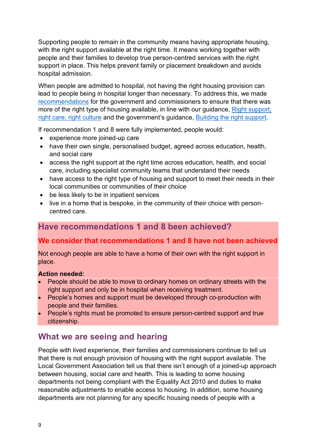Supporting people to remain in the community means having appropriate housing, with the right support available at the right time. It means working together with people and their families to develop true person-centred services with the right support in place. This helps prevent family or placement breakdown and avoids hospital admission.

When people are admitted to hospital, not having the right housing provision can lead to people being in hospital longer than necessary. To address this, we made recommendations for the government and commissioners to ensure that there was more of the right type of housing available, in line with our guidance, [Right support,](https://www.cqc.org.uk/sites/default/files/20200929-900582-Right-support-right-care-right-culture-FINAL.pdf)  [right care, right culture](https://www.cqc.org.uk/sites/default/files/20200929-900582-Right-support-right-care-right-culture-FINAL.pdf) and the government's guidance, [Building the right support.](https://www.england.nhs.uk/learning-disabilities/natplan/)

If recommendation 1 and 8 were fully implemented, people would:

- experience more joined-up care
- have their own single, personalised budget, agreed across education, health, and social care
- access the right support at the right time across education, health, and social care, including specialist community teams that understand their needs
- have access to the right type of housing and support to meet their needs in their local communities or communities of their choice
- be less likely to be in inpatient services
- live in a home that is bespoke, in the community of their choice with personcentred care.

## **Have recommendations 1 and 8 been achieved?**

## **We consider that recommendations 1 and 8 have not been achieved**

Not enough people are able to have a home of their own with the right support in place.

#### **Action needed:**

- People should be able to move to ordinary homes on ordinary streets with the right support and only be in hospital when receiving treatment.
- People's homes and support must be developed through co-production with people and their families.
- People's rights must be promoted to ensure person-centred support and true citizenship.

## **What we are seeing and hearing**

People with lived experience, their families and commissioners continue to tell us that there is not enough provision of housing with the right support available. The Local Government Association tell us that there isn't enough of a joined-up approach between housing, social care and health. This is leading to some housing departments not being compliant with the Equality Act 2010 and duties to make reasonable adjustments to enable access to housing. In addition, some housing departments are not planning for any specific housing needs of people with a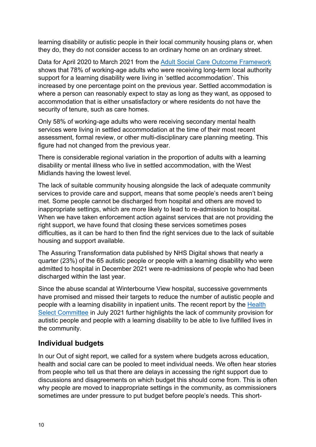learning disability or autistic people in their local community housing plans or, when they do, they do not consider access to an ordinary home on an ordinary street.

Data for April 2020 to March 2021 from the [Adult Social Care Outcome Framework](https://digital.nhs.uk/data-and-information/publications/statistical/adult-social-care-outcomes-framework-ascof/england-2020-21) shows that 78% of working-age adults who were receiving long-term local authority support for a learning disability were living in 'settled accommodation'. This increased by one percentage point on the previous year. Settled accommodation is where a person can reasonably expect to stay as long as they want, as opposed to accommodation that is either unsatisfactory or where residents do not have the security of tenure, such as care homes.

Only 58% of working-age adults who were receiving secondary mental health services were living in settled accommodation at the time of their most recent assessment, formal review, or other multi-disciplinary care planning meeting. This figure had not changed from the previous year.

There is considerable regional variation in the proportion of adults with a learning disability or mental illness who live in settled accommodation, with the West Midlands having the lowest level.

The lack of suitable community housing alongside the lack of adequate community services to provide care and support, means that some people's needs aren't being met. Some people cannot be discharged from hospital and others are moved to inappropriate settings, which are more likely to lead to re-admission to hospital. When we have taken enforcement action against services that are not providing the right support, we have found that closing these services sometimes poses difficulties, as it can be hard to then find the right services due to the lack of suitable housing and support available.

The Assuring Transformation data published by NHS Digital shows that nearly a quarter (23%) of the 65 autistic people or people with a learning disability who were admitted to hospital in December 2021 were re-admissions of people who had been discharged within the last year.

Since the abuse scandal at Winterbourne View hospital, successive governments have promised and missed their targets to reduce the number of autistic people and people with a learning disability in inpatient units. The recent report by the [Health](https://committees.parliament.uk/publications/6669/documents/71689/default/)  [Select Committee](https://committees.parliament.uk/publications/6669/documents/71689/default/) in July 2021 further highlights the lack of community provision for autistic people and people with a learning disability to be able to live fulfilled lives in the community.

## **Individual budgets**

In our Out of sight report, we called for a system where budgets across education, health and social care can be pooled to meet individual needs. We often hear stories from people who tell us that there are delays in accessing the right support due to discussions and disagreements on which budget this should come from. This is often why people are moved to inappropriate settings in the community, as commissioners sometimes are under pressure to put budget before people's needs. This short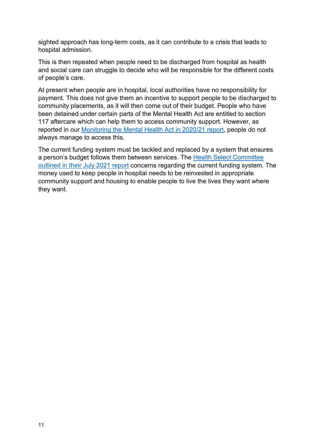sighted approach has long-term costs, as it can contribute to a crisis that leads to hospital admission.

This is then repeated when people need to be discharged from hospital as health and social care can struggle to decide who will be responsible for the different costs of people's care.

At present when people are in hospital, local authorities have no responsibility for payment. This does not give them an incentive to support people to be discharged to community placements, as it will then come out of their budget. People who have been detained under certain parts of the Mental Health Act are entitled to section 117 aftercare which can help them to access community support. However, as reported in our [Monitoring the Mental Health Act in 2020/21 report,](https://www.cqc.org.uk/publications/major-reports/leaving-hospital) people do not always manage to access this.

The current funding system must be tackled and replaced by a system that ensures a person's budget follows them between services. The [Health Select Committee](https://committees.parliament.uk/publications/6669/documents/71689/default/)  [outlined in their July 2021 report](https://committees.parliament.uk/publications/6669/documents/71689/default/) concerns regarding the current funding system. The money used to keep people in hospital needs to be reinvested in appropriate community support and housing to enable people to live the lives they want where they want.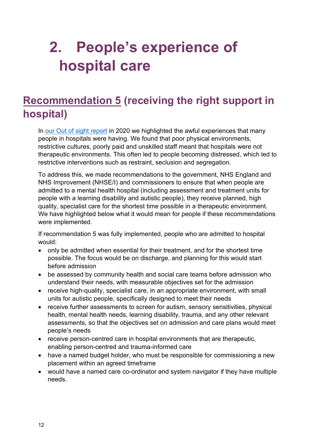# <span id="page-11-0"></span>**2. People's experience of hospital care**

# <span id="page-11-1"></span>**Recommendation 5 (receiving the right support in hospital)**

In [our Out of sight report](https://www.cqc.org.uk/publications/themed-work/rssreview) in 2020 we highlighted the awful experiences that many people in hospitals were having. We found that poor physical environments, restrictive cultures, poorly paid and unskilled staff meant that hospitals were not therapeutic environments. This often led to people becoming distressed, which led to restrictive interventions such as restraint, seclusion and segregation.

To address this, we made recommendations to the government, NHS England and NHS Improvement (NHSE/I) and commissioners to ensure that when people are admitted to a mental health hospital (including assessment and treatment units for people with a learning disability and autistic people), they receive planned, high quality, specialist care for the shortest time possible in a therapeutic environment. We have highlighted below what it would mean for people if these recommendations were implemented.

If recommendation 5 was fully implemented, people who are admitted to hospital would:

- only be admitted when essential for their treatment, and for the shortest time possible. The focus would be on discharge, and planning for this would start before admission
- be assessed by community health and social care teams before admission who understand their needs, with measurable objectives set for the admission
- receive high-quality, specialist care, in an appropriate environment, with small units for autistic people, specifically designed to meet their needs
- receive further assessments to screen for autism, sensory sensitivities, physical health, mental health needs, learning disability, trauma, and any other relevant assessments, so that the objectives set on admission and care plans would meet people's needs
- receive person-centred care in hospital environments that are therapeutic, enabling person-centred and trauma-informed care
- have a named budget holder, who must be responsible for commissioning a new placement within an agreed timeframe
- would have a named care co-ordinator and system navigator if they have multiple needs.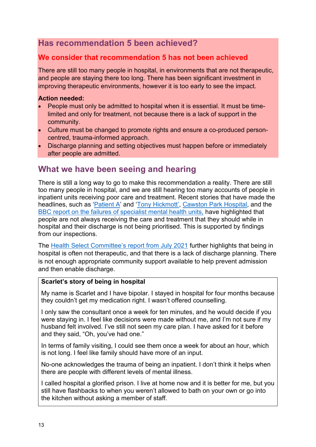## **Has recommendation 5 been achieved?**

## **We consider that recommendation 5 has not been achieved**

There are still too many people in hospital, in environments that are not therapeutic, and people are staying there too long. There has been significant investment in improving therapeutic environments, however it is too early to see the impact.

#### **Action needed:**

- People must only be admitted to hospital when it is essential. It must be timelimited and only for treatment, not because there is a lack of support in the community.
- Culture must be changed to promote rights and ensure a co-produced personcentred, trauma-informed approach.
- Discharge planning and setting objectives must happen before or immediately after people are admitted.

## **What we have been seeing and hearing**

There is still a long way to go to make this recommendation a reality. There are still too many people in hospital, and we are still hearing too many accounts of people in inpatient units receiving poor care and treatment. Recent stories that have made the headlines, such as '*Patient A'* and '*Tony Hickmott'*, *Cawston Park Hospital*, and the [BBC report on the failures of specialist mental health units,](https://www.bbc.co.uk/news/uk-59964353) have highlighted that people are not always receiving the care and treatment that they should while in hospital and their discharge is not being prioritised. This is supported by findings from our inspections.

The [Health Select Committee's report from July 2021](https://committees.parliament.uk/publications/6669/documents/71689/default/) further highlights that being in hospital is often not therapeutic, and that there is a lack of discharge planning. There is not enough appropriate community support available to help prevent admission and then enable discharge.

#### **Scarlet's story of being in hospital**

My name is Scarlet and I have bipolar. I stayed in hospital for four months because they couldn't get my medication right. I wasn't offered counselling.

I only saw the consultant once a week for ten minutes, and he would decide if you were staying in. I feel like decisions were made without me, and I'm not sure if my husband felt involved. I've still not seen my care plan. I have asked for it before and they said, "Oh, you've had one."

In terms of family visiting, I could see them once a week for about an hour, which is not long. I feel like family should have more of an input.

No-one acknowledges the trauma of being an inpatient. I don't think it helps when there are people with different levels of mental illness.

I called hospital a glorified prison. I live at home now and it is better for me, but you still have flashbacks to when you weren't allowed to bath on your own or go into the kitchen without asking a member of staff.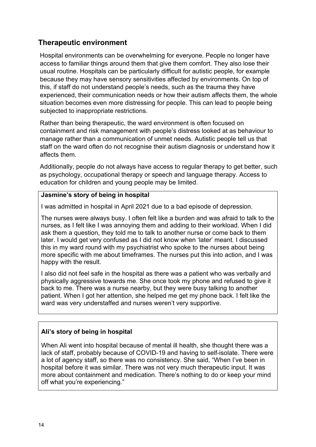## **Therapeutic environment**

Hospital environments can be overwhelming for everyone. People no longer have access to familiar things around them that give them comfort. They also lose their usual routine. Hospitals can be particularly difficult for autistic people, for example because they may have sensory sensitivities affected by environments. On top of this, if staff do not understand people's needs, such as the trauma they have experienced, their communication needs or how their autism affects them, the whole situation becomes even more distressing for people. This can lead to people being subjected to inappropriate restrictions.

Rather than being therapeutic, the ward environment is often focused on containment and risk management with people's distress looked at as behaviour to manage rather than a communication of unmet needs. Autistic people tell us that staff on the ward often do not recognise their autism diagnosis or understand how it affects them.

Additionally, people do not always have access to regular therapy to get better, such as psychology, occupational therapy or speech and language therapy. Access to education for children and young people may be limited.

#### **Jasmine's story of being in hospital**

I was admitted in hospital in April 2021 due to a bad episode of depression.

The nurses were always busy. I often felt like a burden and was afraid to talk to the nurses, as I felt like I was annoying them and adding to their workload. When I did ask them a question, they told me to talk to another nurse or come back to them later. I would get very confused as I did not know when 'later' meant. I discussed this in my ward round with my psychiatrist who spoke to the nurses about being more specific with me about timeframes. The nurses put this into action, and I was happy with the result.

I also did not feel safe in the hospital as there was a patient who was verbally and physically aggressive towards me. She once took my phone and refused to give it back to me. There was a nurse nearby, but they were busy talking to another patient. When I got her attention, she helped me get my phone back. I felt like the ward was very understaffed and nurses weren't very supportive.

#### **Ali's story of being in hospital**

When Ali went into hospital because of mental ill health, she thought there was a lack of staff, probably because of COVID-19 and having to self-isolate. There were a lot of agency staff, so there was no consistency. She said, "When I've been in hospital before it was similar. There was not very much therapeutic input. It was more about containment and medication. There's nothing to do or keep your mind off what you're experiencing."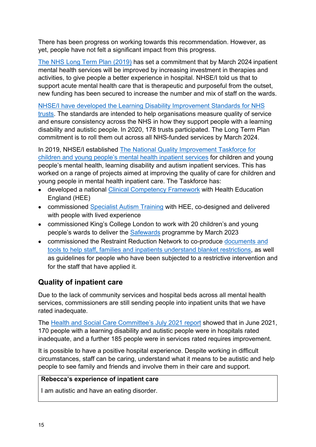There has been progress on working towards this recommendation. However, as yet, people have not felt a significant impact from this progress.

[The NHS Long Term Plan \(2019\)](https://www.longtermplan.nhs.uk/) has set a commitment that by March 2024 inpatient mental health services will be improved by increasing investment in therapies and activities, to give people a better experience in hospital. NHSE/I told us that to support acute mental health care that is therapeutic and purposeful from the outset, new funding has been secured to increase the number and mix of staff on the wards.

[NHSE/I have developed the Learning Disability Improvement Standards for NHS](https://www.england.nhs.uk/learning-disabilities/about/resources/the-learning-disability-improvement-standards-for-nhs-trusts/)  [trusts.](https://www.england.nhs.uk/learning-disabilities/about/resources/the-learning-disability-improvement-standards-for-nhs-trusts/) The standards are intended to help organisations measure quality of service and ensure consistency across the NHS in how they support people with a learning disability and autistic people. In 2020, 178 trusts participated. The Long Term Plan commitment is to roll them out across all NHS-funded services by March 2024.

In 2019, NHSE/I established [The National Quality Improvement Taskforce for](https://www.england.nhs.uk/mental-health/cyp/children-and-adolescent-mental-health-service-inpatient-services/improvement-taskforce-children-young-people/)  [children and young people's mental health inpatient services for children and young](https://www.england.nhs.uk/mental-health/cyp/children-and-adolescent-mental-health-service-inpatient-services/improvement-taskforce-children-young-people/)  [people's mental health, learning disability and autism inpatient services. This has](https://www.england.nhs.uk/mental-health/cyp/children-and-adolescent-mental-health-service-inpatient-services/improvement-taskforce-children-young-people/)  [worked on a range of projects aimed at improving the quality of care for children and](https://www.england.nhs.uk/mental-health/cyp/children-and-adolescent-mental-health-service-inpatient-services/improvement-taskforce-children-young-people/)  [young people in mental health inpatient care.](https://www.england.nhs.uk/mental-health/cyp/children-and-adolescent-mental-health-service-inpatient-services/improvement-taskforce-children-young-people/) The Taskforce has:

- developed a national [Clinical Competency Framework](https://www.ucl.ac.uk/pals/node/16761/) with Health Education England (HEE)
- commissioned [Specialist Autism Training](https://maudsleylearning.com/courses/cyp-autism-train-the-trainer/) with HEE, co-designed and delivered with people with lived experience
- commissioned King's College London to work with 20 children's and young people's wards to deliver the [Safewards](https://www.kcl.ac.uk/research/implementing-safewards-on-childrens-and-young-peoples-mental-health-wards-1) programme by March 2023
- commissioned the Restraint Reduction Network to co-produce documents and [tools to help staff, families and inpatients understand blanket restrictions,](https://www.england.nhs.uk/mental-health/cyp/children-and-adolescent-mental-health-service-inpatient-services/guidance-and-resources/) as well as guidelines for people who have been subjected to a restrictive intervention and for the staff that have applied it.

## **Quality of inpatient care**

Due to the lack of community services and hospital beds across all mental health services, commissioners are still sending people into inpatient units that we have rated inadequate.

The [Health and Social Care Committee's July 2021 report s](https://committees.parliament.uk/publications/6669/documents/71689/default/)howed that in June 2021, 170 people with a learning disability and autistic people were in hospitals rated inadequate, and a further 185 people were in services rated requires improvement.

It is possible to have a positive hospital experience. Despite working in difficult circumstances, staff can be caring, understand what it means to be autistic and help people to see family and friends and involve them in their care and support.

#### **Rebecca's experience of inpatient care**

I am autistic and have an eating disorder.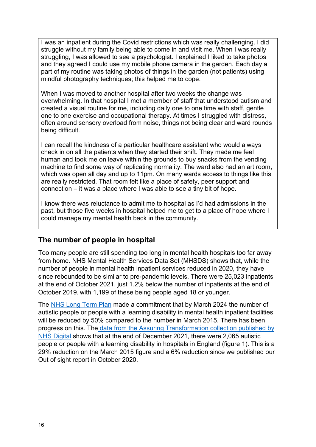I was an inpatient during the Covid restrictions which was really challenging. I did struggle without my family being able to come in and visit me. When I was really struggling, I was allowed to see a psychologist. I explained I liked to take photos and they agreed I could use my mobile phone camera in the garden. Each day a part of my routine was taking photos of things in the garden (not patients) using mindful photography techniques; this helped me to cope.

When I was moved to another hospital after two weeks the change was overwhelming. In that hospital I met a member of staff that understood autism and created a visual routine for me, including daily one to one time with staff, gentle one to one exercise and occupational therapy. At times I struggled with distress, often around sensory overload from noise, things not being clear and ward rounds being difficult.

I can recall the kindness of a particular healthcare assistant who would always check in on all the patients when they started their shift. They made me feel human and took me on leave within the grounds to buy snacks from the vending machine to find some way of replicating normality. The ward also had an art room, which was open all day and up to 11pm. On many wards access to things like this are really restricted. That room felt like a place of safety, peer support and connection – it was a place where I was able to see a tiny bit of hope.

I know there was reluctance to admit me to hospital as I'd had admissions in the past, but those five weeks in hospital helped me to get to a place of hope where I could manage my mental health back in the community.

## **The number of people in hospital**

Too many people are still spending too long in mental health hospitals too far away from home. NHS Mental Health Services Data Set (MHSDS) shows that, while the number of people in mental health inpatient services reduced in 2020, they have since rebounded to be similar to pre-pandemic levels. There were 25,023 inpatients at the end of October 2021, just 1.2% below the number of inpatients at the end of October 2019, with 1,199 of these being people aged 18 or younger.

The [NHS Long Term Plan](https://www.longtermplan.nhs.uk/) made a commitment that by March 2024 the number of autistic people or people with a learning disability in mental health inpatient facilities will be reduced by 50% compared to the number in March 2015. There has been progress on this. Th[e data from the Assuring Transformation collection published by](https://digital.nhs.uk/data-and-information/publications/statistical/learning-disability-services-statistics/at-december-2021-mhsds-october-2021-final)  [NHS Digital](https://digital.nhs.uk/data-and-information/publications/statistical/learning-disability-services-statistics/at-december-2021-mhsds-october-2021-final) shows that at the end of December 2021, there were 2,065 autistic people or people with a learning disability in hospitals in England (figure 1). This is a 29% reduction on the March 2015 figure and a 6% reduction since we published our Out of sight report in October 2020.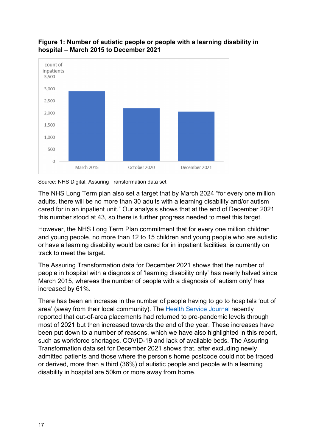

#### **Figure 1: Number of autistic people or people with a learning disability in hospital – March 2015 to December 2021**

Source: NHS Digital, Assuring Transformation data set

The NHS Long Term plan also set a target that by March 2024 "for every one million adults, there will be no more than 30 adults with a learning disability and/or autism cared for in an inpatient unit." Our analysis shows that at the end of December 2021 this number stood at 43, so there is further progress needed to meet this target.

However, the NHS Long Term Plan commitment that for every one million children and young people, no more than 12 to 15 children and young people who are autistic or have a learning disability would be cared for in inpatient facilities, is currently on track to meet the target.

The Assuring Transformation data for December 2021 shows that the number of people in hospital with a diagnosis of 'learning disability only' has nearly halved since March 2015, whereas the number of people with a diagnosis of 'autism only' has increased by 61%.

There has been an increase in the number of people having to go to hospitals 'out of area' (away from their local community). The [Health Service Journal](https://www.hsj.co.uk/mental-health/unprecedented-numbers-sent-hundreds-of-miles-for-a-bed/7031886.article?mkt_tok=OTM2LUZSWi03MTkAAAGCpsnwbpqzVKQfst0ufl0QuXnxEQO2HPW7pQ1j7VYOVWjWmn1wOx_4smbxN0DPMonkMXNxFuwMYFKH16xThhbi335QUOhERflsiGws3eajXbso9Hw) recently reported that out-of-area placements had returned to pre-pandemic levels through most of 2021 but then increased towards the end of the year. These increases have been put down to a number of reasons, which we have also highlighted in this report, such as workforce shortages, COVID-19 and lack of available beds. The Assuring Transformation data set for December 2021 shows that, after excluding newly admitted patients and those where the person's home postcode could not be traced or derived, more than a third (36%) of autistic people and people with a learning disability in hospital are 50km or more away from home.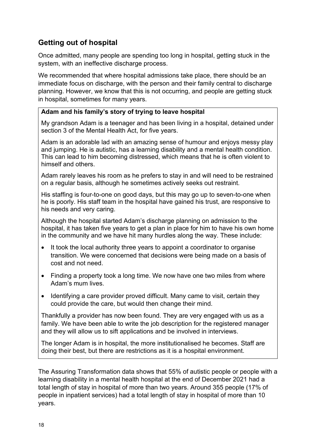## **Getting out of hospital**

Once admitted, many people are spending too long in hospital, getting stuck in the system, with an ineffective discharge process.

We recommended that where hospital admissions take place, there should be an immediate focus on discharge, with the person and their family central to discharge planning. However, we know that this is not occurring, and people are getting stuck in hospital, sometimes for many years.

#### **Adam and his family's story of trying to leave hospital**

My grandson Adam is a teenager and has been living in a hospital, detained under section 3 of the Mental Health Act, for five years.

Adam is an adorable lad with an amazing sense of humour and enjoys messy play and jumping. He is autistic, has a learning disability and a mental health condition. This can lead to him becoming distressed, which means that he is often violent to himself and others.

Adam rarely leaves his room as he prefers to stay in and will need to be restrained on a regular basis, although he sometimes actively seeks out restraint.

His staffing is four-to-one on good days, but this may go up to seven-to-one when he is poorly. His staff team in the hospital have gained his trust, are responsive to his needs and very caring.

Although the hospital started Adam's discharge planning on admission to the hospital, it has taken five years to get a plan in place for him to have his own home in the community and we have hit many hurdles along the way. These include:

- It took the local authority three years to appoint a coordinator to organise transition. We were concerned that decisions were being made on a basis of cost and not need.
- Finding a property took a long time. We now have one two miles from where Adam's mum lives.
- Identifying a care provider proved difficult. Many came to visit, certain they could provide the care, but would then change their mind.

Thankfully a provider has now been found. They are very engaged with us as a family. We have been able to write the job description for the registered manager and they will allow us to sift applications and be involved in interviews.

The longer Adam is in hospital, the more institutionalised he becomes. Staff are doing their best, but there are restrictions as it is a hospital environment.

The Assuring Transformation data shows that 55% of autistic people or people with a learning disability in a mental health hospital at the end of December 2021 had a total length of stay in hospital of more than two years. Around 355 people (17% of people in inpatient services) had a total length of stay in hospital of more than 10 years.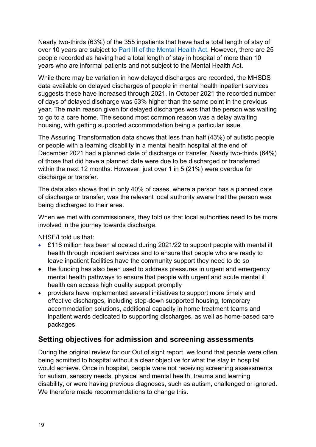Nearly two-thirds (63%) of the 355 inpatients that have had a total length of stay of over 10 years are subject to [Part III of the Mental Health Act.](https://www.legislation.gov.uk/ukpga/1983/20/contents) However, there are 25 people recorded as having had a total length of stay in hospital of more than 10 years who are informal patients and not subject to the Mental Health Act.

While there may be variation in how delayed discharges are recorded, the MHSDS data available on delayed discharges of people in mental health inpatient services suggests these have increased through 2021. In October 2021 the recorded number of days of delayed discharge was 53% higher than the same point in the previous year. The main reason given for delayed discharges was that the person was waiting to go to a care home. The second most common reason was a delay awaiting housing, with getting supported accommodation being a particular issue.

The Assuring Transformation data shows that less than half (43%) of autistic people or people with a learning disability in a mental health hospital at the end of December 2021 had a planned date of discharge or transfer. Nearly two-thirds (64%) of those that did have a planned date were due to be discharged or transferred within the next 12 months. However, just over 1 in 5 (21%) were overdue for discharge or transfer.

The data also shows that in only 40% of cases, where a person has a planned date of discharge or transfer, was the relevant local authority aware that the person was being discharged to their area.

When we met with commissioners, they told us that local authorities need to be more involved in the journey towards discharge.

NHSE/I told us that:

- £116 million has been allocated during 2021/22 to support people with mental ill health through inpatient services and to ensure that people who are ready to leave inpatient facilities have the community support they need to do so
- the funding has also been used to address pressures in urgent and emergency mental health pathways to ensure that people with urgent and acute mental ill health can access high quality support promptly
- providers have implemented several initiatives to support more timely and effective discharges, including step-down supported housing, temporary accommodation solutions, additional capacity in home treatment teams and inpatient wards dedicated to supporting discharges, as well as home-based care packages.

## **Setting objectives for admission and screening assessments**

During the original review for our Out of sight report, we found that people were often being admitted to hospital without a clear objective for what the stay in hospital would achieve. Once in hospital, people were not receiving screening assessments for autism, sensory needs, physical and mental health, trauma and learning disability, or were having previous diagnoses, such as autism, challenged or ignored. We therefore made recommendations to change this.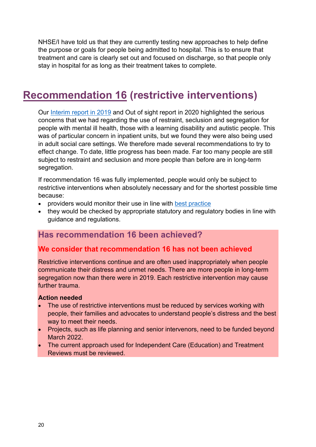NHSE/I have told us that they are currently testing new approaches to help define the purpose or goals for people being admitted to hospital. This is to ensure that treatment and care is clearly set out and focused on discharge, so that people only stay in hospital for as long as their treatment takes to complete.

## <span id="page-19-0"></span>**Recommendation 16 (restrictive interventions)**

Our [Interim report in 2019](https://www.cqc.org.uk/publications/themed-work/interim-report-review-restraint-prolonged-seclusion-segregation-people) and Out of sight report in 2020 highlighted the serious concerns that we had regarding the use of restraint, seclusion and segregation for people with mental ill health, those with a learning disability and autistic people. This was of particular concern in inpatient units, but we found they were also being used in adult social care settings. We therefore made several recommendations to try to effect change. To date, little progress has been made. Far too many people are still subject to restraint and seclusion and more people than before are in long-term segregation.

If recommendation 16 was fully implemented, people would only be subject to restrictive interventions when absolutely necessary and for the shortest possible time because:

- providers would monitor their use in line with [best practice](https://restraintreductionnetwork.org/know-the-standard/)
- they would be checked by appropriate statutory and regulatory bodies in line with guidance and regulations.

## **Has recommendation 16 been achieved?**

## **We consider that recommendation 16 has not been achieved**

Restrictive interventions continue and are often used inappropriately when people communicate their distress and unmet needs. There are more people in long-term segregation now than there were in 2019. Each restrictive intervention may cause further trauma.

#### **Action needed**

- The use of restrictive interventions must be reduced by services working with people, their families and advocates to understand people's distress and the best way to meet their needs.
- Projects, such as life planning and senior intervenors, need to be funded beyond March 2022.
- The current approach used for Independent Care (Education) and Treatment Reviews must be reviewed.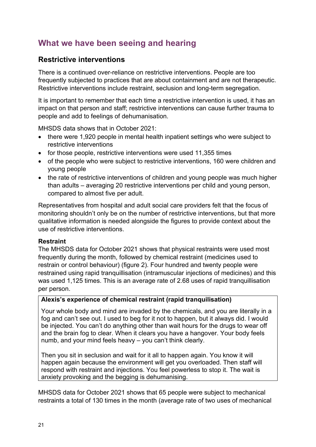## **What we have been seeing and hearing**

## **Restrictive interventions**

There is a continued over-reliance on restrictive interventions. People are too frequently subjected to practices that are about containment and are not therapeutic. Restrictive interventions include restraint, seclusion and long-term segregation.

It is important to remember that each time a restrictive intervention is used, it has an impact on that person and staff; restrictive interventions can cause further trauma to people and add to feelings of dehumanisation.

MHSDS data shows that in October 2021:

- there were 1,920 people in mental health inpatient settings who were subject to restrictive interventions
- for those people, restrictive interventions were used 11,355 times
- of the people who were subject to restrictive interventions, 160 were children and young people
- the rate of restrictive interventions of children and young people was much higher than adults – averaging 20 restrictive interventions per child and young person, compared to almost five per adult.

Representatives from hospital and adult social care providers felt that the focus of monitoring shouldn't only be on the number of restrictive interventions, but that more qualitative information is needed alongside the figures to provide context about the use of restrictive interventions.

#### **Restraint**

The MHSDS data for October 2021 shows that physical restraints were used most frequently during the month, followed by chemical restraint (medicines used to restrain or control behaviour) (figure 2). Four hundred and twenty people were restrained using rapid tranquillisation (intramuscular injections of medicines) and this was used 1,125 times. This is an average rate of 2.68 uses of rapid tranquillisation per person.

#### **Alexis's experience of chemical restraint (rapid tranquilisation)**

Your whole body and mind are invaded by the chemicals, and you are literally in a fog and can't see out. I used to beg for it not to happen, but it always did. I would be injected. You can't do anything other than wait hours for the drugs to wear off and the brain fog to clear. When it clears you have a hangover. Your body feels numb, and your mind feels heavy – you can't think clearly.

Then you sit in seclusion and wait for it all to happen again. You know it will happen again because the environment will get you overloaded. Then staff will respond with restraint and injections. You feel powerless to stop it. The wait is anxiety provoking and the begging is dehumanising.

MHSDS data for October 2021 shows that 65 people were subject to mechanical restraints a total of 130 times in the month (average rate of two uses of mechanical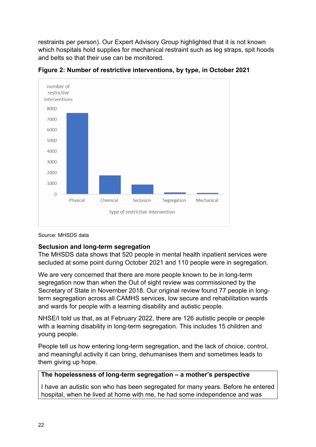restraints per person). Our Expert Advisory Group highlighted that it is not known which hospitals hold supplies for mechanical restraint such as leg straps, spit hoods and belts so that their use can be monitored.



**Figure 2: Number of restrictive interventions, by type, in October 2021** 

Source: MHSDS data

#### **Seclusion and long-term segregation**

The MHSDS data shows that 520 people in mental health inpatient services were secluded at some point during October 2021 and 110 people were in segregation.

We are very concerned that there are more people known to be in long-term segregation now than when the Out of sight review was commissioned by the Secretary of State in November 2018. Our original review found 77 people in longterm segregation across all CAMHS services, low secure and rehabilitation wards and wards for people with a learning disability and autistic people.

NHSE/I told us that, as at February 2022, there are 126 autistic people or people with a learning disability in long-term segregation. This includes 15 children and young people.

People tell us how entering long-term segregation, and the lack of choice, control, and meaningful activity it can bring, dehumanises them and sometimes leads to them giving up hope.

#### **The hopelessness of long-term segregation – a mother's perspective**

I have an autistic son who has been segregated for many years. Before he entered hospital, when he lived at home with me, he had some independence and was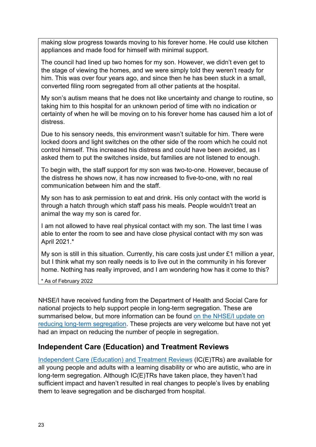making slow progress towards moving to his forever home. He could use kitchen appliances and made food for himself with minimal support.

The council had lined up two homes for my son. However, we didn't even get to the stage of viewing the homes, and we were simply told they weren't ready for him. This was over four years ago, and since then he has been stuck in a small, converted filing room segregated from all other patients at the hospital.

My son's autism means that he does not like uncertainty and change to routine, so taking him to this hospital for an unknown period of time with no indication or certainty of when he will be moving on to his forever home has caused him a lot of distress.

Due to his sensory needs, this environment wasn't suitable for him. There were locked doors and light switches on the other side of the room which he could not control himself. This increased his distress and could have been avoided, as I asked them to put the switches inside, but families are not listened to enough.

To begin with, the staff support for my son was two-to-one. However, because of the distress he shows now, it has now increased to five-to-one, with no real communication between him and the staff.

My son has to ask permission to eat and drink. His only contact with the world is through a hatch through which staff pass his meals. People wouldn't treat an animal the way my son is cared for.

I am not allowed to have real physical contact with my son. The last time I was able to enter the room to see and have close physical contact with my son was April 2021.\*

My son is still in this situation. Currently, his care costs just under £1 million a year, but I think what my son really needs is to live out in the community in his forever home. Nothing has really improved, and I am wondering how has it come to this?

\* As of February 2022

NHSE/I have received funding from the Department of Health and Social Care for national projects to help support people in long-term segregation. These are summarised below, but more information can be found [on the NHSE/I update on](https://www.england.nhs.uk/learning-disabilities/about/reducing-long-term-segregation/)  [reducing long-term segregation.](https://www.england.nhs.uk/learning-disabilities/about/reducing-long-term-segregation/) These projects are very welcome but have not yet had an impact on reducing the number of people in segregation.

## **Independent Care (Education) and Treatment Reviews**

[Independent Care \(Education\) and Treatment Reviews](https://www.gov.uk/government/publications/independent-care-education-and-treatment-reviews) (IC(E)TRs) are available for all young people and adults with a learning disability or who are autistic, who are in long-term segregation. Although IC(E)TRs have taken place, they haven't had sufficient impact and haven't resulted in real changes to people's lives by enabling them to leave segregation and be discharged from hospital.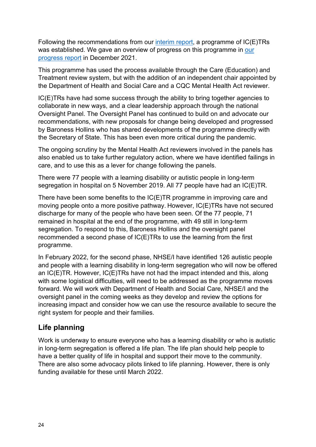Following the recommendations from our [interim report,](https://www.cqc.org.uk/publications/themed-work/interim-report-review-restraint-prolonged-seclusion-segregation-people) a programme of IC(E)TRs was established. We gave an overview of progress on this programme in our [progress report](https://www.cqc.org.uk/publications/themed-work/restraint-segregation-seclusion-review-progress-report) in December 2021.

This programme has used the process available through the Care (Education) and Treatment review system, but with the addition of an independent chair appointed by the Department of Health and Social Care and a CQC Mental Health Act reviewer.

IC(E)TRs have had some success through the ability to bring together agencies to collaborate in new ways, and a clear leadership approach through the national Oversight Panel. The Oversight Panel has continued to build on and advocate our recommendations, with new proposals for change being developed and progressed by Baroness Hollins who has shared developments of the programme directly with the Secretary of State. This has been even more critical during the pandemic.

The ongoing scrutiny by the Mental Health Act reviewers involved in the panels has also enabled us to take further regulatory action, where we have identified failings in care, and to use this as a lever for change following the panels.

There were 77 people with a learning disability or autistic people in long-term segregation in hospital on 5 November 2019. All 77 people have had an IC(E)TR.

There have been some benefits to the IC(E)TR programme in improving care and moving people onto a more positive pathway. However, IC(E)TRs have not secured discharge for many of the people who have been seen. Of the 77 people, 71 remained in hospital at the end of the programme, with 49 still in long-term segregation. To respond to this, Baroness Hollins and the oversight panel recommended a second phase of IC(E)TRs to use the learning from the first programme.

In February 2022, for the second phase, NHSE/I have identified 126 autistic people and people with a learning disability in long-term segregation who will now be offered an IC(E)TR. However, IC(E)TRs have not had the impact intended and this, along with some logistical difficulties, will need to be addressed as the programme moves forward. We will work with Department of Health and Social Care, NHSE/I and the oversight panel in the coming weeks as they develop and review the options for increasing impact and consider how we can use the resource available to secure the right system for people and their families.

## **Life planning**

Work is underway to ensure everyone who has a learning disability or who is autistic in long-term segregation is offered a life plan. The life plan should help people to have a better quality of life in hospital and support their move to the community. There are also some advocacy pilots linked to life planning. However, there is only funding available for these until March 2022.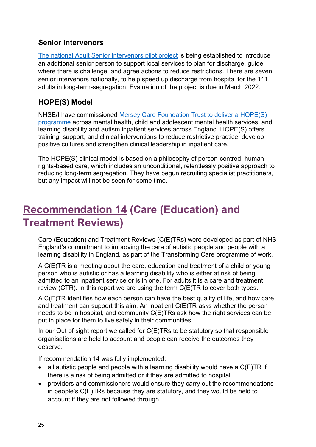## **Senior intervenors**

[The national Adult Senior Intervenors pilot project](https://www.england.nhs.uk/learning-disabilities/about/reducing-long-term-segregation/) is being established to introduce an additional senior person to support local services to plan for discharge, guide where there is challenge, and agree actions to reduce restrictions. There are seven senior intervenors nationally, to help speed up discharge from hospital for the 111 adults in long-term-segregation. Evaluation of the project is due in March 2022.

## **HOPE(S) Model**

NHSE/I have commissioned [Mersey Care Foundation Trust to deliver a HOPE\(S\)](https://www.centreforperfectcare.com/our-work/hope-s-model/)  [programme](https://www.centreforperfectcare.com/our-work/hope-s-model/) across mental health, child and adolescent mental health services, and learning disability and autism inpatient services across England. HOPE(S) offers training, support, and clinical interventions to reduce restrictive practice, develop positive cultures and strengthen clinical leadership in inpatient care.

The HOPE(S) clinical model is based on a philosophy of person-centred, human rights-based care, which includes an unconditional, relentlessly positive approach to reducing long-term segregation. They have begun recruiting specialist practitioners, but any impact will not be seen for some time.

# <span id="page-24-0"></span>**Recommendation 14 (Care (Education) and Treatment Reviews)**

Care (Education) and Treatment Reviews (C(E)TRs) were developed as part of NHS England's commitment to improving the care of autistic people and people with a learning disability in England, as part of the Transforming Care programme of work.

A C(E)TR is a meeting about the care, education and treatment of a child or young person who is autistic or has a learning disability who is either at risk of being admitted to an inpatient service or is in one. For adults it is a care and treatment review (CTR). In this report we are using the term C(E)TR to cover both types.

A C(E)TR identifies how each person can have the best quality of life, and how care and treatment can support this aim. An inpatient C(E)TR asks whether the person needs to be in hospital, and community C(E)TRs ask how the right services can be put in place for them to live safely in their communities.

In our Out of sight report we called for  $C(E)$ TRs to be statutory so that responsible organisations are held to account and people can receive the outcomes they deserve.

If recommendation 14 was fully implemented:

- all autistic people and people with a learning disability would have a  $C(E)TR$  if there is a risk of being admitted or if they are admitted to hospital
- providers and commissioners would ensure they carry out the recommendations in people's C(E)TRs because they are statutory, and they would be held to account if they are not followed through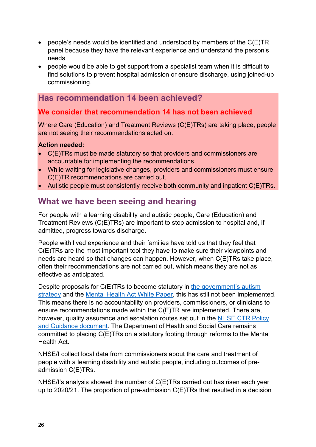- people's needs would be identified and understood by members of the C(E)TR panel because they have the relevant experience and understand the person's needs
- people would be able to get support from a specialist team when it is difficult to find solutions to prevent hospital admission or ensure discharge, using joined-up commissioning.

## **Has recommendation 14 been achieved?**

## **We consider that recommendation 14 has not been achieved**

Where Care (Education) and Treatment Reviews (C(E)TRs) are taking place, people are not seeing their recommendations acted on.

#### **Action needed:**

- C(E)TRs must be made statutory so that providers and commissioners are accountable for implementing the recommendations.
- While waiting for legislative changes, providers and commissioners must ensure C(E)TR recommendations are carried out.
- Autistic people must consistently receive both community and inpatient C(E)TRs.

## **What we have been seeing and hearing**

For people with a learning disability and autistic people, Care (Education) and Treatment Reviews (C(E)TRs) are important to stop admission to hospital and, if admitted, progress towards discharge.

People with lived experience and their families have told us that they feel that C(E)TRs are the most important tool they have to make sure their viewpoints and needs are heard so that changes can happen. However, when C(E)TRs take place, often their recommendations are not carried out, which means they are not as effective as anticipated.

Despite proposals for C(E)TRs to become statutory in the government's autism [strategy](https://www.gov.uk/government/publications/national-strategy-for-autistic-children-young-people-and-adults-2021-to-2026/the-national-strategy-for-autistic-children-young-people-and-adults-2021-to-2026) and the [Mental Health Act White Paper,](https://www.gov.uk/government/consultations/reforming-the-mental-health-act/reforming-the-mental-health-act) this has still not been implemented. This means there is no accountability on providers, commissioners, or clinicians to ensure recommendations made within the C(E)TR are implemented. There are, however, quality assurance and escalation routes set out in the [NHSE CTR Policy](https://www.england.nhs.uk/wp-content/uploads/2017/03/ctr-policy-v2.pdf)  [and Guidance document.](https://www.england.nhs.uk/wp-content/uploads/2017/03/ctr-policy-v2.pdf) The Department of Health and Social Care remains committed to placing C(E)TRs on a statutory footing through reforms to the Mental Health Act.

NHSE/I collect local data from commissioners about the care and treatment of people with a learning disability and autistic people, including outcomes of preadmission C(E)TRs.

NHSE/I's analysis showed the number of C(E)TRs carried out has risen each year up to 2020/21. The proportion of pre-admission C(E)TRs that resulted in a decision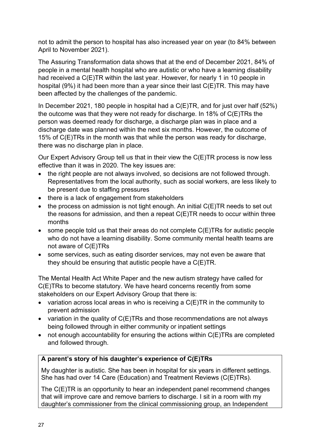not to admit the person to hospital has also increased year on year (to 84% between April to November 2021).

The Assuring Transformation data shows that at the end of December 2021, 84% of people in a mental health hospital who are autistic or who have a learning disability had received a C(E)TR within the last year. However, for nearly 1 in 10 people in hospital (9%) it had been more than a year since their last C(E)TR. This may have been affected by the challenges of the pandemic.

In December 2021, 180 people in hospital had a C(E)TR, and for just over half (52%) the outcome was that they were not ready for discharge. In 18% of C(E)TRs the person was deemed ready for discharge, a discharge plan was in place and a discharge date was planned within the next six months. However, the outcome of 15% of C(E)TRs in the month was that while the person was ready for discharge, there was no discharge plan in place.

Our Expert Advisory Group tell us that in their view the C(E)TR process is now less effective than it was in 2020. The key issues are:

- the right people are not always involved, so decisions are not followed through. Representatives from the local authority, such as social workers, are less likely to be present due to staffing pressures
- there is a lack of engagement from stakeholders
- $\bullet$  the process on admission is not tight enough. An initial  $C(E)TR$  needs to set out the reasons for admission, and then a repeat C(E)TR needs to occur within three months
- some people told us that their areas do not complete C(E)TRs for autistic people who do not have a learning disability. Some community mental health teams are not aware of C(E)TRs
- some services, such as eating disorder services, may not even be aware that they should be ensuring that autistic people have a C(E)TR.

The Mental Health Act White Paper and the new autism strategy have called for C(E)TRs to become statutory. We have heard concerns recently from some stakeholders on our Expert Advisory Group that there is:

- variation across local areas in who is receiving a C(E)TR in the community to prevent admission
- variation in the quality of C(E)TRs and those recommendations are not always being followed through in either community or inpatient settings
- not enough accountability for ensuring the actions within C(E)TRs are completed and followed through.

## **A parent's story of his daughter's experience of C(E)TRs**

My daughter is autistic. She has been in hospital for six years in different settings. She has had over 14 Care (Education) and Treatment Reviews (C(E)TRs).

The C(E)TR is an opportunity to hear an independent panel recommend changes that will improve care and remove barriers to discharge. I sit in a room with my daughter's commissioner from the clinical commissioning group, an Independent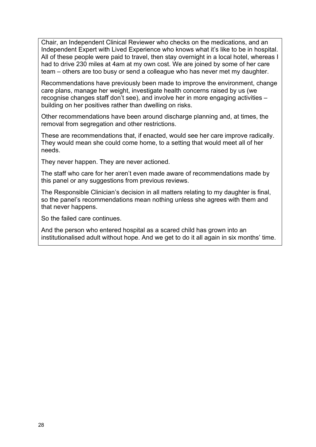Chair, an Independent Clinical Reviewer who checks on the medications, and an Independent Expert with Lived Experience who knows what it's like to be in hospital. All of these people were paid to travel, then stay overnight in a local hotel, whereas I had to drive 230 miles at 4am at my own cost. We are joined by some of her care team – others are too busy or send a colleague who has never met my daughter.

Recommendations have previously been made to improve the environment, change care plans, manage her weight, investigate health concerns raised by us (we recognise changes staff don't see), and involve her in more engaging activities – building on her positives rather than dwelling on risks.

Other recommendations have been around discharge planning and, at times, the removal from segregation and other restrictions.

These are recommendations that, if enacted, would see her care improve radically. They would mean she could come home, to a setting that would meet all of her needs.

They never happen. They are never actioned.

The staff who care for her aren't even made aware of recommendations made by this panel or any suggestions from previous reviews.

The Responsible Clinician's decision in all matters relating to my daughter is final, so the panel's recommendations mean nothing unless she agrees with them and that never happens.

So the failed care continues.

And the person who entered hospital as a scared child has grown into an institutionalised adult without hope. And we get to do it all again in six months' time.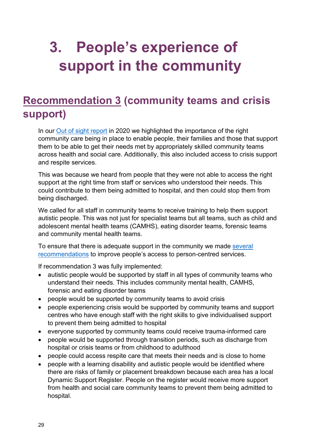# <span id="page-28-0"></span>**3. People's experience of support in the community**

## <span id="page-28-1"></span>**Recommendation 3 (community teams and crisis support)**

In our [Out of sight report](https://www.cqc.org.uk/publications/themed-work/rssreview) in 2020 we highlighted the importance of the right community care being in place to enable people, their families and those that support them to be able to get their needs met by appropriately skilled community teams across health and social care. Additionally, this also included access to crisis support and respite services.

This was because we heard from people that they were not able to access the right support at the right time from staff or services who understood their needs. This could contribute to them being admitted to hospital, and then could stop them from being discharged.

We called for all staff in community teams to receive training to help them support autistic people. This was not just for specialist teams but all teams, such as child and adolescent mental health teams (CAMHS), eating disorder teams, forensic teams and community mental health teams.

To ensure that there is adequate support in the community we made [several](https://www.cqc.org.uk/sites/default/files/20201218_rssreview_report.pdf#Recommendations)  [recommendations](https://www.cqc.org.uk/sites/default/files/20201218_rssreview_report.pdf#Recommendations) to improve people's access to person-centred services.

If recommendation 3 was fully implemented:

- autistic people would be supported by staff in all types of community teams who understand their needs. This includes community mental health, CAMHS, forensic and eating disorder teams
- people would be supported by community teams to avoid crisis
- people experiencing crisis would be supported by community teams and support centres who have enough staff with the right skills to give individualised support to prevent them being admitted to hospital
- everyone supported by community teams could receive trauma-informed care
- people would be supported through transition periods, such as discharge from hospital or crisis teams or from childhood to adulthood
- people could access respite care that meets their needs and is close to home
- people with a learning disability and autistic people would be identified where there are risks of family or placement breakdown because each area has a local Dynamic Support Register. People on the register would receive more support from health and social care community teams to prevent them being admitted to hospital.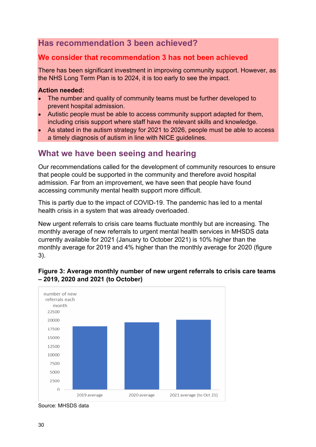## **Has recommendation 3 been achieved?**

## **We consider that recommendation 3 has not been achieved**

There has been significant investment in improving community support. However, as the NHS Long Term Plan is to 2024, it is too early to see the impact.

#### **Action needed:**

- The number and quality of community teams must be further developed to prevent hospital admission.
- Autistic people must be able to access community support adapted for them, including crisis support where staff have the relevant skills and knowledge.
- As stated in the autism strategy for 2021 to 2026, people must be able to access a timely diagnosis of autism in line with NICE guidelines.

## **What we have been seeing and hearing**

Our recommendations called for the development of community resources to ensure that people could be supported in the community and therefore avoid hospital admission. Far from an improvement, we have seen that people have found accessing community mental health support more difficult.

This is partly due to the impact of COVID-19. The pandemic has led to a mental health crisis in a system that was already overloaded.

New urgent referrals to crisis care teams fluctuate monthly but are increasing. The monthly average of new referrals to urgent mental health services in MHSDS data currently available for 2021 (January to October 2021) is 10% higher than the monthly average for 2019 and 4% higher than the monthly average for 2020 (figure 3).



#### **Figure 3: Average monthly number of new urgent referrals to crisis care teams – 2019, 2020 and 2021 (to October)**

Source: MHSDS data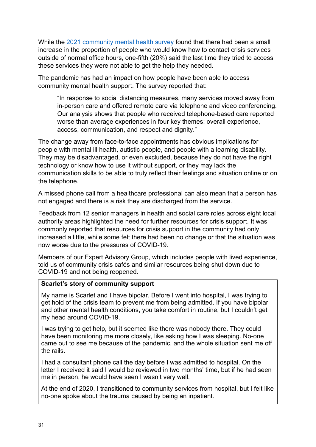While the [2021 community mental health survey](https://www.cqc.org.uk/publications/surveys/community-mental-health-survey-2021) found that there had been a small increase in the proportion of people who would know how to contact crisis services outside of normal office hours, one-fifth (20%) said the last time they tried to access these services they were not able to get the help they needed.

The pandemic has had an impact on how people have been able to access community mental health support. The survey reported that:

"In response to social distancing measures, many services moved away from in-person care and offered remote care via telephone and video conferencing. Our analysis shows that people who received telephone-based care reported worse than average experiences in four key themes: overall experience, access, communication, and respect and dignity."

The change away from face-to-face appointments has obvious implications for people with mental ill health, autistic people, and people with a learning disability. They may be disadvantaged, or even excluded, because they do not have the right technology or know how to use it without support, or they may lack the communication skills to be able to truly reflect their feelings and situation online or on the telephone.

A missed phone call from a healthcare professional can also mean that a person has not engaged and there is a risk they are discharged from the service.

Feedback from 12 senior managers in health and social care roles across eight local authority areas highlighted the need for further resources for crisis support. It was commonly reported that resources for crisis support in the community had only increased a little, while some felt there had been no change or that the situation was now worse due to the pressures of COVID-19.

Members of our Expert Advisory Group, which includes people with lived experience, told us of community crisis cafés and similar resources being shut down due to COVID-19 and not being reopened.

#### **Scarlet's story of community support**

My name is Scarlet and I have bipolar. Before I went into hospital, I was trying to get hold of the crisis team to prevent me from being admitted. If you have bipolar and other mental health conditions, you take comfort in routine, but I couldn't get my head around COVID-19.

I was trying to get help, but it seemed like there was nobody there. They could have been monitoring me more closely, like asking how I was sleeping. No-one came out to see me because of the pandemic, and the whole situation sent me off the rails.

I had a consultant phone call the day before I was admitted to hospital. On the letter I received it said I would be reviewed in two months' time, but if he had seen me in person, he would have seen I wasn't very well.

At the end of 2020, I transitioned to community services from hospital, but I felt like no-one spoke about the trauma caused by being an inpatient.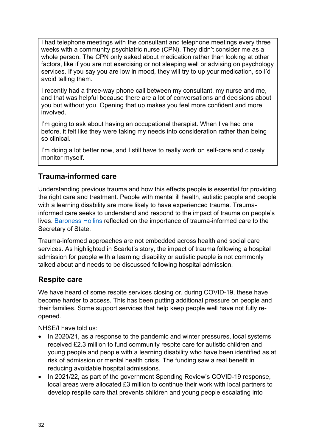I had telephone meetings with the consultant and telephone meetings every three weeks with a community psychiatric nurse (CPN). They didn't consider me as a whole person. The CPN only asked about medication rather than looking at other factors, like if you are not exercising or not sleeping well or advising on psychology services. If you say you are low in mood, they will try to up your medication, so I'd avoid telling them.

I recently had a three-way phone call between my consultant, my nurse and me, and that was helpful because there are a lot of conversations and decisions about you but without you. Opening that up makes you feel more confident and more involved.

I'm going to ask about having an occupational therapist. When I've had one before, it felt like they were taking my needs into consideration rather than being so clinical.

I'm doing a lot better now, and I still have to really work on self-care and closely monitor myself.

## **Trauma-informed care**

Understanding previous trauma and how this effects people is essential for providing the right care and treatment. People with mental ill health, autistic people and people with a learning disability are more likely to have experienced trauma. Traumainformed care seeks to understand and respond to the impact of trauma on people's lives. [Baroness Hollins](https://www.gov.uk/government/publications/independent-care-education-and-treatment-reviews/baroness-hollins-letter-to-the-secretary-of-state-for-health-and-social-care-about-the-independent-care-education-and-treatment-reviews) reflected on the importance of trauma-informed care to the Secretary of State.

Trauma-informed approaches are not embedded across health and social care services. As highlighted in Scarlet's story, the impact of trauma following a hospital admission for people with a learning disability or autistic people is not commonly talked about and needs to be discussed following hospital admission.

## **Respite care**

We have heard of some respite services closing or, during COVID-19, these have become harder to access. This has been putting additional pressure on people and their families. Some support services that help keep people well have not fully reopened.

NHSE/I have told us:

- In 2020/21, as a response to the pandemic and winter pressures, local systems received £2.3 million to fund community respite care for autistic children and young people and people with a learning disability who have been identified as at risk of admission or mental health crisis. The funding saw a real benefit in reducing avoidable hospital admissions.
- In 2021/22, as part of the government Spending Review's COVID-19 response, local areas were allocated £3 million to continue their work with local partners to develop respite care that prevents children and young people escalating into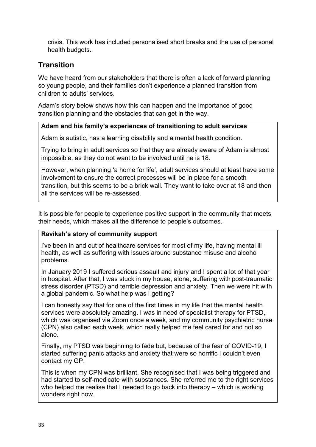crisis. This work has included personalised short breaks and the use of personal health budgets.

## **Transition**

We have heard from our stakeholders that there is often a lack of forward planning so young people, and their families don't experience a planned transition from children to adults' services.

Adam's story below shows how this can happen and the importance of good transition planning and the obstacles that can get in the way.

#### **Adam and his family's experiences of transitioning to adult services**

Adam is autistic, has a learning disability and a mental health condition.

Trying to bring in adult services so that they are already aware of Adam is almost impossible, as they do not want to be involved until he is 18.

However, when planning 'a home for life', adult services should at least have some involvement to ensure the correct processes will be in place for a smooth transition, but this seems to be a brick wall. They want to take over at 18 and then all the services will be re-assessed.

It is possible for people to experience positive support in the community that meets their needs, which makes all the difference to people's outcomes.

#### **Ravikah's story of community support**

I've been in and out of healthcare services for most of my life, having mental ill health, as well as suffering with issues around substance misuse and alcohol problems.

In January 2019 I suffered serious assault and injury and I spent a lot of that year in hospital. After that, I was stuck in my house, alone, suffering with post-traumatic stress disorder (PTSD) and terrible depression and anxiety. Then we were hit with a global pandemic. So what help was I getting?

I can honestly say that for one of the first times in my life that the mental health services were absolutely amazing. I was in need of specialist therapy for PTSD, which was organised via Zoom once a week, and my community psychiatric nurse (CPN) also called each week, which really helped me feel cared for and not so alone.

Finally, my PTSD was beginning to fade but, because of the fear of COVID-19, I started suffering panic attacks and anxiety that were so horrific I couldn't even contact my GP.

This is when my CPN was brilliant. She recognised that I was being triggered and had started to self-medicate with substances. She referred me to the right services who helped me realise that I needed to go back into therapy – which is working wonders right now.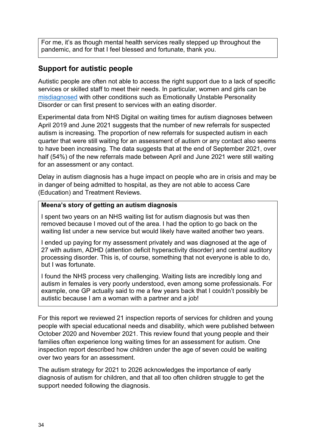For me, it's as though mental health services really stepped up throughout the pandemic, and for that I feel blessed and fortunate, thank you.

## **Support for autistic people**

Autistic people are often not able to access the right support due to a lack of specific services or skilled staff to meet their needs. In particular, women and girls can be [misdiagnosed](https://www.psychologytoday.com/us/blog/talking-about-trauma/201905/why-women-autism-so-often-are-misdiagnosed) with other conditions such as Emotionally Unstable Personality Disorder or can first present to services with an eating disorder.

Experimental data from NHS Digital on waiting times for autism diagnoses between April 2019 and June 2021 suggests that the number of new referrals for suspected autism is increasing. The proportion of new referrals for suspected autism in each quarter that were still waiting for an assessment of autism or any contact also seems to have been increasing. The data suggests that at the end of September 2021, over half (54%) of the new referrals made between April and June 2021 were still waiting for an assessment or any contact.

Delay in autism diagnosis has a huge impact on people who are in crisis and may be in danger of being admitted to hospital, as they are not able to access Care (Education) and Treatment Reviews.

#### **Meena's story of getting an autism diagnosis**

I spent two years on an NHS waiting list for autism diagnosis but was then removed because I moved out of the area. I had the option to go back on the waiting list under a new service but would likely have waited another two years.

I ended up paying for my assessment privately and was diagnosed at the age of 27 with autism, ADHD (attention deficit hyperactivity disorder) and central auditory processing disorder. This is, of course, something that not everyone is able to do, but I was fortunate.

I found the NHS process very challenging. Waiting lists are incredibly long and autism in females is very poorly understood, even among some professionals. For example, one GP actually said to me a few years back that I couldn't possibly be autistic because I am a woman with a partner and a job!

For this report we reviewed 21 inspection reports of services for children and young people with special educational needs and disability, which were published between October 2020 and November 2021. This review found that young people and their families often experience long waiting times for an assessment for autism. One inspection report described how children under the age of seven could be waiting over two years for an assessment.

The autism strategy for 2021 to 2026 acknowledges the importance of early diagnosis of autism for children, and that all too often children struggle to get the support needed following the diagnosis.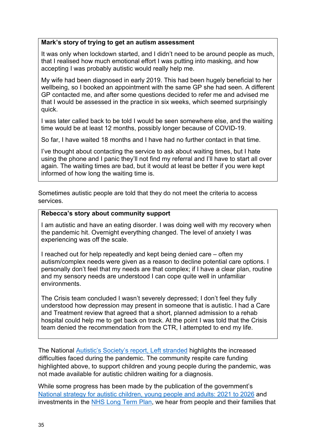#### **Mark's story of trying to get an autism assessment**

It was only when lockdown started, and I didn't need to be around people as much, that I realised how much emotional effort I was putting into masking, and how accepting I was probably autistic would really help me.

My wife had been diagnosed in early 2019. This had been hugely beneficial to her wellbeing, so I booked an appointment with the same GP she had seen. A different GP contacted me, and after some questions decided to refer me and advised me that I would be assessed in the practice in six weeks, which seemed surprisingly quick.

I was later called back to be told I would be seen somewhere else, and the waiting time would be at least 12 months, possibly longer because of COVID-19.

So far, I have waited 18 months and I have had no further contact in that time.

I've thought about contacting the service to ask about waiting times, but I hate using the phone and I panic they'll not find my referral and I'll have to start all over again. The waiting times are bad, but it would at least be better if you were kept informed of how long the waiting time is.

Sometimes autistic people are told that they do not meet the criteria to access services.

#### **Rebecca's story about community support**

I am autistic and have an eating disorder. I was doing well with my recovery when the pandemic hit. Overnight everything changed. The level of anxiety I was experiencing was off the scale.

I reached out for help repeatedly and kept being denied care – often my autism/complex needs were given as a reason to decline potential care options. I personally don't feel that my needs are that complex; if I have a clear plan, routine and my sensory needs are understood I can cope quite well in unfamiliar environments.

The Crisis team concluded I wasn't severely depressed; I don't feel they fully understood how depression may present in someone that is autistic. I had a Care and Treatment review that agreed that a short, planned admission to a rehab hospital could help me to get back on track. At the point I was told that the Crisis team denied the recommendation from the CTR, I attempted to end my life.

The National [Autistic's Society's report, Left stranded](https://s4.chorus-mk.thirdlight.com/file/1573224908/63117952292/width=-1/height=-1/format=-1/fit=scale/t=444295/e=never/k=da5c189a/LeftStranded%20Report.pdf) highlights the increased difficulties faced during the pandemic. The community respite care funding highlighted above, to support children and young people during the pandemic, was not made available for autistic children waiting for a diagnosis.

While some progress has been made by the publication of the government's [National strategy for autistic children, young people and adults: 2021 to 2026](https://www.gov.uk/government/publications/national-strategy-for-autistic-children-young-people-and-adults-2021-to-2026) and investments in the [NHS Long Term Plan,](https://www.longtermplan.nhs.uk/) we hear from people and their families that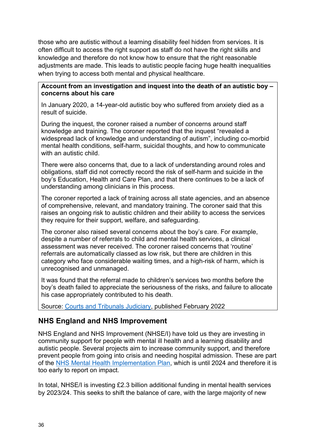those who are autistic without a learning disability feel hidden from services. It is often difficult to access the right support as staff do not have the right skills and knowledge and therefore do not know how to ensure that the right reasonable adjustments are made. This leads to autistic people facing huge health inequalities when trying to access both mental and physical healthcare.

#### **Account from an investigation and inquest into the death of an autistic boy – concerns about his care**

In January 2020, a 14-year-old autistic boy who suffered from anxiety died as a result of suicide.

During the inquest, the coroner raised a number of concerns around staff knowledge and training. The coroner reported that the inquest "revealed a widespread lack of knowledge and understanding of autism", including co-morbid mental health conditions, self-harm, suicidal thoughts, and how to communicate with an autistic child.

There were also concerns that, due to a lack of understanding around roles and obligations, staff did not correctly record the risk of self-harm and suicide in the boy's Education, Health and Care Plan, and that there continues to be a lack of understanding among clinicians in this process.

The coroner reported a lack of training across all state agencies, and an absence of comprehensive, relevant, and mandatory training. The coroner said that this raises an ongoing risk to autistic children and their ability to access the services they require for their support, welfare, and safeguarding.

The coroner also raised several concerns about the boy's care. For example, despite a number of referrals to child and mental health services, a clinical assessment was never received. The coroner raised concerns that 'routine' referrals are automatically classed as low risk, but there are children in this category who face considerable waiting times, and a high-risk of harm, which is unrecognised and unmanaged.

It was found that the referral made to children's services two months before the boy's death failed to appreciate the seriousness of the risks, and failure to allocate his case appropriately contributed to his death.

Source: [Courts and Tribunals Judiciary,](https://www.judiciary.uk/publications/oskar-nash-prevention-of-future-deaths-report/) published February 2022

## **NHS England and NHS Improvement**

NHS England and NHS Improvement (NHSE/I) have told us they are investing in community support for people with mental ill health and a learning disability and autistic people. Several projects aim to increase community support, and therefore prevent people from going into crisis and needing hospital admission. These are part of the [NHS Mental Health Implementation Plan,](https://gbr01.safelinks.protection.outlook.com/?url=https%3A%2F%2Fwww.longtermplan.nhs.uk%2Fwp-content%2Fuploads%2F2019%2F07%2Fnhs-mental-health-implementation-plan-2019-20-2023-24.pdf&data=04%7C01%7CAlison.Carpenter%40cqc.org.uk%7Cc4a164dca96c42d596bb08d9fdd32972%7Ca55dcab8ce6645eaab3f65bc2b07b5d3%7C1%7C0%7C637819907236267812%7CUnknown%7CTWFpbGZsb3d8eyJWIjoiMC4wLjAwMDAiLCJQIjoiV2luMzIiLCJBTiI6Ik1haWwiLCJXVCI6Mn0%3D%7C3000&sdata=FUGie%2B1pHf8KdRps8epmDoYjQFf263gma7%2BcTiAayQw%3D&reserved=0) which is until 2024 and therefore it is too early to report on impact.

In total, NHSE/I is investing £2.3 billion additional funding in mental health services by 2023/24. This seeks to shift the balance of care, with the large majority of new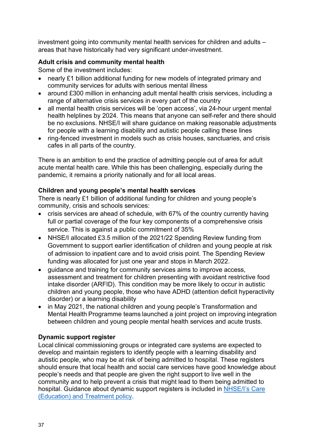investment going into community mental health services for children and adults – areas that have historically had very significant under-investment.

#### **Adult crisis and community mental health**

Some of the investment includes:

- nearly £1 billion additional funding for new models of integrated primary and community services for adults with serious mental illness
- around £300 million in enhancing adult mental health crisis services, including a range of alternative crisis services in every part of the country
- all mental health crisis services will be 'open access', via 24-hour urgent mental health helplines by 2024. This means that anyone can self-refer and there should be no exclusions. NHSE/I will share guidance on making reasonable adjustments for people with a learning disability and autistic people calling these lines
- ring-fenced investment in models such as crisis houses, sanctuaries, and crisis cafes in all parts of the country.

There is an ambition to end the practice of admitting people out of area for adult acute mental health care. While this has been challenging, especially during the pandemic, it remains a priority nationally and for all local areas.

#### **Children and young people's mental health services**

There is nearly £1 billion of additional funding for children and young people's community, crisis and schools services:

- crisis services are ahead of schedule, with 67% of the country currently having full or partial coverage of the four key components of a comprehensive crisis service. This is against a public commitment of 35%
- NHSE/I allocated £3.5 million of the 2021/22 Spending Review funding from Government to support earlier identification of children and young people at risk of admission to inpatient care and to avoid crisis point. The Spending Review funding was allocated for just one year and stops in March 2022.
- guidance and training for community services aims to improve access, assessment and treatment for children presenting with avoidant restrictive food intake disorder (ARFID). This condition may be more likely to occur in autistic children and young people, those who have ADHD (attention deficit hyperactivity disorder) or a learning disability
- in May 2021, the national children and young people's Transformation and Mental Health Programme teams launched a joint project on improving integration between children and young people mental health services and acute trusts.

#### **Dynamic support register**

Local clinical commissioning groups or integrated care systems are expected to develop and maintain registers to identify people with a learning disability and autistic people, who may be at risk of being admitted to hospital. These registers should ensure that local health and social care services have good knowledge about people's needs and that people are given the right support to live well in the community and to help prevent a crisis that might lead to them being admitted to hospital. Guidance about dynamic support registers is included in [NHSE/I's Care](https://www.england.nhs.uk/wp-content/uploads/2017/03/ctr-policy-v2.pdf)  [\(Education\) and Treatment policy.](https://www.england.nhs.uk/wp-content/uploads/2017/03/ctr-policy-v2.pdf)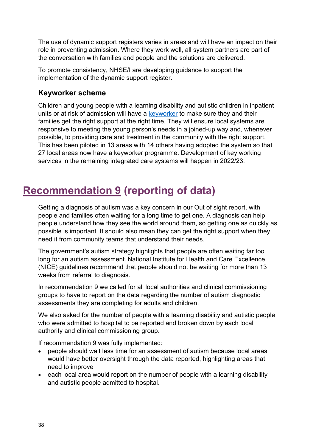The use of dynamic support registers varies in areas and will have an impact on their role in preventing admission. Where they work well, all system partners are part of the conversation with families and people and the solutions are delivered.

To promote consistency, NHSE/I are developing guidance to support the implementation of the dynamic support register.

#### **Keyworker scheme**

Children and young people with a learning disability and autistic children in inpatient units or at risk of admission will have a [keyworker](https://www.england.nhs.uk/learning-disabilities/care/children-young-people/keyworkers/) to make sure they and their families get the right support at the right time. They will ensure local systems are responsive to meeting the young person's needs in a joined-up way and, whenever possible, to providing care and treatment in the community with the right support. This has been piloted in 13 areas with 14 others having adopted the system so that 27 local areas now have a keyworker programme. Development of key working services in the remaining integrated care systems will happen in 2022/23.

## <span id="page-37-0"></span>**Recommendation 9 (reporting of data)**

Getting a diagnosis of autism was a key concern in our Out of sight report, with people and families often waiting for a long time to get one. A diagnosis can help people understand how they see the world around them, so getting one as quickly as possible is important. It should also mean they can get the right support when they need it from community teams that understand their needs.

The government's autism strategy highlights that people are often waiting far too long for an autism assessment. National Institute for Health and Care Excellence (NICE) guidelines recommend that people should not be waiting for more than 13 weeks from referral to diagnosis.

In recommendation 9 we called for all local authorities and clinical commissioning groups to have to report on the data regarding the number of autism diagnostic assessments they are completing for adults and children.

We also asked for the number of people with a learning disability and autistic people who were admitted to hospital to be reported and broken down by each local authority and clinical commissioning group.

If recommendation 9 was fully implemented:

- people should wait less time for an assessment of autism because local areas would have better oversight through the data reported, highlighting areas that need to improve
- each local area would report on the number of people with a learning disability and autistic people admitted to hospital.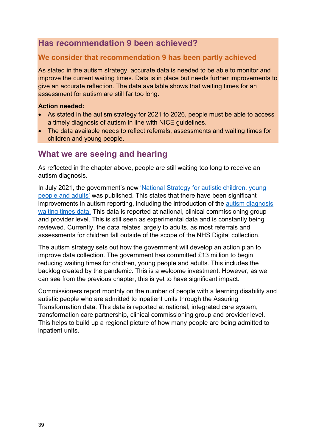## **Has recommendation 9 been achieved?**

## **We consider that recommendation 9 has been partly achieved**

As stated in the autism strategy, accurate data is needed to be able to monitor and improve the current waiting times. Data is in place but needs further improvements to give an accurate reflection. The data available shows that waiting times for an assessment for autism are still far too long.

#### **Action needed:**

- As stated in the autism strategy for 2021 to 2026, people must be able to access a timely diagnosis of autism in line with NICE guidelines.
- The data available needs to reflect referrals, assessments and waiting times for children and young people.

## **What we are seeing and hearing**

As reflected in the chapter above, people are still waiting too long to receive an autism diagnosis.

In July 2021, the government's new ['National Strategy for autistic children, young](https://assets.publishing.service.gov.uk/government/uploads/system/uploads/attachment_data/file/1004528/the-national-strategy-for-autistic-children-young-people-and-adults-2021-to-2026.pdf)  [people and adults'](https://assets.publishing.service.gov.uk/government/uploads/system/uploads/attachment_data/file/1004528/the-national-strategy-for-autistic-children-young-people-and-adults-2021-to-2026.pdf) was published. This states that there have been significant improvements in autism reporting, including the introduction of the [autism diagnosis](https://digital.nhs.uk/data-and-information/publications/statistical/autism-statistics)  [waiting times data.](https://digital.nhs.uk/data-and-information/publications/statistical/autism-statistics) This data is reported at national, clinical commissioning group and provider level. This is still seen as experimental data and is constantly being reviewed. Currently, the data relates largely to adults, as most referrals and assessments for children fall outside of the scope of the NHS Digital collection.

The autism strategy sets out how the government will develop an action plan to improve data collection. The government has committed £13 million to begin reducing waiting times for children, young people and adults. This includes the backlog created by the pandemic. This is a welcome investment. However, as we can see from the previous chapter, this is yet to have significant impact.

<span id="page-38-0"></span>Commissioners report monthly on the number of people with a learning disability and autistic people who are admitted to inpatient units through the Assuring Transformation data. This data is reported at national, integrated care system, transformation care partnership, clinical commissioning group and provider level. This helps to build up a regional picture of how many people are being admitted to inpatient units.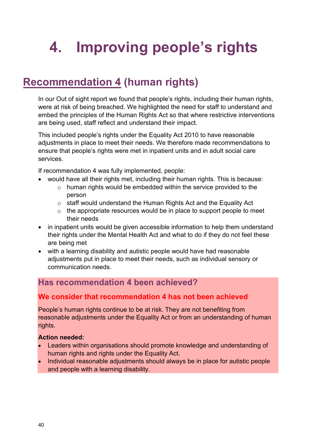# **4. Improving people's rights**

## <span id="page-39-0"></span>**Recommendation 4 (human rights)**

In our Out of sight report we found that people's rights, including their human rights, were at risk of being breached. We highlighted the need for staff to understand and embed the principles of the Human Rights Act so that where restrictive interventions are being used, staff reflect and understand their impact.

This included people's rights under the Equality Act 2010 to have reasonable adjustments in place to meet their needs. We therefore made recommendations to ensure that people's rights were met in inpatient units and in adult social care services.

If recommendation 4 was fully implemented, people:

- would have all their rights met, including their human rights. This is because:
	- o human rights would be embedded within the service provided to the person
	- o staff would understand the Human Rights Act and the Equality Act
	- $\circ$  the appropriate resources would be in place to support people to meet their needs
- in inpatient units would be given accessible information to help them understand their rights under the Mental Health Act and what to do if they do not feel these are being met
- with a learning disability and autistic people would have had reasonable adjustments put in place to meet their needs, such as individual sensory or communication needs.

## **Has recommendation 4 been achieved?**

## **We consider that recommendation 4 has not been achieved**

People's human rights continue to be at risk. They are not benefiting from reasonable adjustments under the Equality Act or from an understanding of human rights.

#### **Action needed:**

- Leaders within organisations should promote knowledge and understanding of human rights and rights under the Equality Act.
- Individual reasonable adjustments should always be in place for autistic people and people with a learning disability.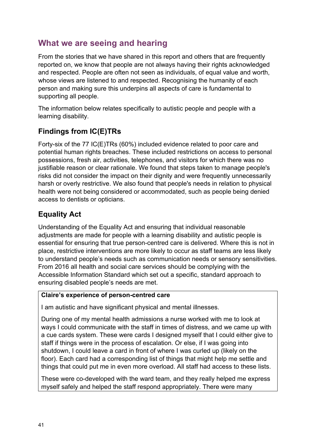## **What we are seeing and hearing**

From the stories that we have shared in this report and others that are frequently reported on, we know that people are not always having their rights acknowledged and respected. People are often not seen as individuals, of equal value and worth, whose views are listened to and respected. Recognising the humanity of each person and making sure this underpins all aspects of care is fundamental to supporting all people.

The information below relates specifically to autistic people and people with a learning disability.

## **Findings from IC(E)TRs**

Forty-six of the 77 IC(E)TRs (60%) included evidence related to poor care and potential human rights breaches. These included restrictions on access to personal possessions, fresh air, activities, telephones, and visitors for which there was no justifiable reason or clear rationale. We found that steps taken to manage people's risks did not consider the impact on their dignity and were frequently unnecessarily harsh or overly restrictive. We also found that people's needs in relation to physical health were not being considered or accommodated, such as people being denied access to dentists or opticians.

## **Equality Act**

Understanding of the Equality Act and ensuring that individual reasonable adjustments are made for people with a learning disability and autistic people is essential for ensuring that true person-centred care is delivered. Where this is not in place, restrictive interventions are more likely to occur as staff teams are less likely to understand people's needs such as communication needs or sensory sensitivities. From 2016 all health and social care services should be complying with the Accessible Information Standard which set out a specific, standard approach to ensuring disabled people's needs are met.

#### **Claire's experience of person-centred care**

I am autistic and have significant physical and mental illnesses.

During one of my mental health admissions a nurse worked with me to look at ways I could communicate with the staff in times of distress, and we came up with a cue cards system. These were cards I designed myself that I could either give to staff if things were in the process of escalation. Or else, if I was going into shutdown, I could leave a card in front of where I was curled up (likely on the floor). Each card had a corresponding list of things that might help me settle and things that could put me in even more overload. All staff had access to these lists.

These were co-developed with the ward team, and they really helped me express myself safely and helped the staff respond appropriately. There were many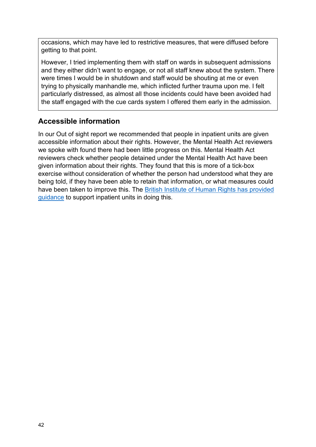occasions, which may have led to restrictive measures, that were diffused before getting to that point.

However, I tried implementing them with staff on wards in subsequent admissions and they either didn't want to engage, or not all staff knew about the system. There were times I would be in shutdown and staff would be shouting at me or even trying to physically manhandle me, which inflicted further trauma upon me. I felt particularly distressed, as almost all those incidents could have been avoided had the staff engaged with the cue cards system I offered them early in the admission.

## **Accessible information**

<span id="page-41-0"></span>In our Out of sight report we recommended that people in inpatient units are given accessible information about their rights. However, the Mental Health Act reviewers we spoke with found there had been little progress on this. Mental Health Act reviewers check whether people detained under the Mental Health Act have been given information about their rights. They found that this is more of a tick-box exercise without consideration of whether the person had understood what they are being told, if they have been able to retain that information, or what measures could have been taken to improve this. The [British Institute of Human Rights has provided](https://www.equalityhumanrights.com/en/publication-download/your-rights-when-detained-under-mental-health-act-england)  [guidance](https://www.equalityhumanrights.com/en/publication-download/your-rights-when-detained-under-mental-health-act-england) to support inpatient units in doing this.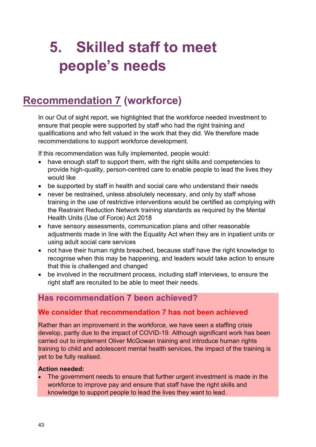# **5. Skilled staff to meet people's needs**

## <span id="page-42-0"></span>**Recommendation 7 (workforce)**

In our Out of sight report, we highlighted that the workforce needed investment to ensure that people were supported by staff who had the right training and qualifications and who felt valued in the work that they did. We therefore made recommendations to support workforce development.

If this recommendation was fully implemented, people would:

- have enough staff to support them, with the right skills and competencies to provide high-quality, person-centred care to enable people to lead the lives they would like
- be supported by staff in health and social care who understand their needs
- never be restrained, unless absolutely necessary, and only by staff whose training in the use of restrictive interventions would be certified as complying with the Restraint Reduction Network training standards as required by the Mental Health Units (Use of Force) Act 2018
- have sensory assessments, communication plans and other reasonable adjustments made in line with the Equality Act when they are in inpatient units or using adult social care services
- not have their human rights breached, because staff have the right knowledge to recognise when this may be happening, and leaders would take action to ensure that this is challenged and changed
- be involved in the recruitment process, including staff interviews, to ensure the right staff are recruited to be able to meet their needs.

## **Has recommendation 7 been achieved?**

## **We consider that recommendation 7 has not been achieved**

Rather than an improvement in the workforce, we have seen a staffing crisis develop, partly due to the impact of COVID-19. Although significant work has been carried out to implement Oliver McGowan training and introduce human rights training to child and adolescent mental health services, the impact of the training is yet to be fully realised.

#### **Action needed:**

 The government needs to ensure that further urgent investment is made in the workforce to improve pay and ensure that staff have the right skills and knowledge to support people to lead the lives they want to lead.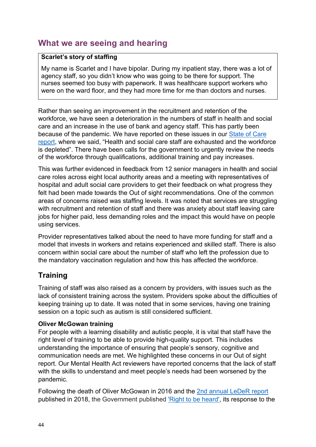## **What we are seeing and hearing**

#### **Scarlet's story of staffing**

My name is Scarlet and I have bipolar. During my inpatient stay, there was a lot of agency staff, so you didn't know who was going to be there for support. The nurses seemed too busy with paperwork. It was healthcare support workers who were on the ward floor, and they had more time for me than doctors and nurses.

Rather than seeing an improvement in the recruitment and retention of the workforce, we have seen a deterioration in the numbers of staff in health and social care and an increase in the use of bank and agency staff. This has partly been because of the pandemic. We have reported on these issues in our [State of Care](https://www.cqc.org.uk/sites/default/files/20211021_stateofcare2021_print.pdf)  [report,](https://www.cqc.org.uk/sites/default/files/20211021_stateofcare2021_print.pdf) where we said, "Health and social care staff are exhausted and the workforce is depleted". There have been calls for the government to urgently review the needs of the workforce through qualifications, additional training and pay increases.

This was further evidenced in feedback from 12 senior managers in health and social care roles across eight local authority areas and a meeting with representatives of hospital and adult social care providers to get their feedback on what progress they felt had been made towards the Out of sight recommendations. One of the common areas of concerns raised was staffing levels. It was noted that services are struggling with recruitment and retention of staff and there was anxiety about staff leaving care jobs for higher paid, less demanding roles and the impact this would have on people using services.

Provider representatives talked about the need to have more funding for staff and a model that invests in workers and retains experienced and skilled staff. There is also concern within social care about the number of staff who left the profession due to the mandatory vaccination regulation and how this has affected the workforce.

## **Training**

Training of staff was also raised as a concern by providers, with issues such as the lack of consistent training across the system. Providers spoke about the difficulties of keeping training up to date. It was noted that in some services, having one training session on a topic such as autism is still considered sufficient.

#### **Oliver McGowan training**

For people with a learning disability and autistic people, it is vital that staff have the right level of training to be able to provide high-quality support. This includes understanding the importance of ensuring that people's sensory, cognitive and communication needs are met. We highlighted these concerns in our Out of sight report. Our Mental Health Act reviewers have reported concerns that the lack of staff with the skills to understand and meet people's needs had been worsened by the pandemic.

Following the death of Oliver McGowan in 2016 and the [2nd annual LeDeR report](https://www.gov.uk/government/publications/government-response-to-the-learning-disabilities-mortality-review-leder-programme-2nd-annual-report#:~:text=The%20LeDeR%202nd%20annual%20report%20was%20published%20on%20in%204,July%202016%20and%20November%202017.) published in 2018, the Government published ['Right to be heard', its response to the](https://assets.publishing.service.gov.uk/government/uploads/system/uploads/attachment_data/file/844356/autism-and-learning-disability-training-for-staff-consultation-response.pdf)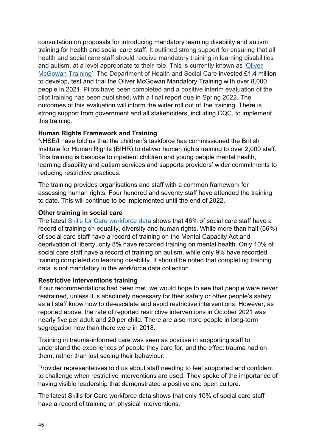[consultation on proposals for introducing mandatory learning disability and autism](https://assets.publishing.service.gov.uk/government/uploads/system/uploads/attachment_data/file/844356/autism-and-learning-disability-training-for-staff-consultation-response.pdf)  [training for health and social care staff.](https://assets.publishing.service.gov.uk/government/uploads/system/uploads/attachment_data/file/844356/autism-and-learning-disability-training-for-staff-consultation-response.pdf) It outlined strong support for ensuring that all health and social care staff should receive mandatory training in learning disabilities and autism, at a level appropriate to their role. This is currently known as ['Oliver](https://www.hee.nhs.uk/our-work/learning-disability/oliver-mcgowan-mandatory-training-learning-disability-autism)  [McGowan Training'](https://www.hee.nhs.uk/our-work/learning-disability/oliver-mcgowan-mandatory-training-learning-disability-autism). The Department of Health and Social Care invested £1.4 million to develop, test and trial the Oliver McGowan Mandatory Training with over 8,000 people in 2021. Pilots have been completed and a positive interim evaluation of the pilot training has been published, with a final report due in Spring 2022. The outcomes of this evaluation will inform the wider roll out of the training. There is strong support from government and all stakeholders, including CQC, to implement this training.

#### **Human Rights Framework and Training**

NHSE/I have told us that the children's taskforce has commissioned the British Institute for Human Rights (BIHR) to deliver human rights training to over 2,000 staff. This training is bespoke to inpatient children and young people mental health, learning disability and autism services and supports providers' wider commitments to reducing restrictive practices.

The training provides organisations and staff with a common framework for assessing human rights. Four hundred and seventy staff have attended the training to date. This will continue to be implemented until the end of 2022.

#### **Other training in social care**

The latest [Skills for Care workforce data](https://www.skillsforcare.org.uk/Adult-Social-Care-Workforce-Data/Workforce-intelligence/publications/Workforce-estimates.aspx) shows that 46% of social care staff have a record of training on equality, diversity and human rights. While more than half (56%) of social care staff have a record of training on the Mental Capacity Act and deprivation of liberty, only 8% have recorded training on mental health. Only 10% of social care staff have a record of training on autism, while only 9% have recorded training completed on learning disability. It should be noted that completing training data is not mandatory in the workforce data collection.

#### **Restrictive interventions training**

If our recommendations had been met, we would hope to see that people were never restrained, unless it is absolutely necessary for their safety or other people's safety, as all staff know how to de-escalate and avoid restrictive interventions. However, as reported above, the rate of reported restrictive interventions in October 2021 was nearly five per adult and 20 per child. There are also more people in long-term segregation now than there were in 2018.

Training in trauma-informed care was seen as positive in supporting staff to understand the experiences of people they care for, and the effect trauma had on them, rather than just seeing their behaviour.

Provider representatives told us about staff needing to feel supported and confident to challenge when restrictive interventions are used. They spoke of the importance of having visible leadership that demonstrated a positive and open culture.

The latest Skills for Care workforce data shows that only 10% of social care staff have a record of training on physical interventions.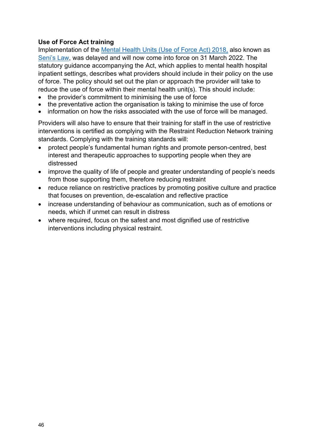#### **Use of Force Act training**

Implementation of the [Mental Health Units \(Use of Force Act\) 2018,](https://www.gov.uk/government/publications/mental-health-units-use-of-force-act-2018) also known as [Seni's Law,](https://www.justiceforseni.com/) was delayed and will now come into force on 31 March 2022. The statutory guidance accompanying the Act, which applies to mental health hospital inpatient settings, describes what providers should include in their policy on the use of force. The policy should set out the plan or approach the provider will take to reduce the use of force within their mental health unit(s). This should include:

- the provider's commitment to minimising the use of force
- the preventative action the organisation is taking to minimise the use of force
- information on how the risks associated with the use of force will be managed.

Providers will also have to ensure that their training for staff in the use of restrictive interventions is certified as complying with the Restraint Reduction Network training standards. Complying with the training standards will:

- protect people's fundamental human rights and promote person-centred, best interest and therapeutic approaches to supporting people when they are distressed
- improve the quality of life of people and greater understanding of people's needs from those supporting them, therefore reducing restraint
- reduce reliance on restrictive practices by promoting positive culture and practice that focuses on prevention, de-escalation and reflective practice
- increase understanding of behaviour as communication, such as of emotions or needs, which if unmet can result in distress
- where required, focus on the safest and most dignified use of restrictive interventions including physical restraint.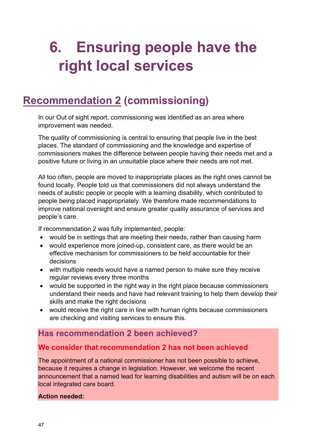# <span id="page-46-0"></span>**6. Ensuring people have the right local services**

## <span id="page-46-1"></span>**Recommendation 2 (commissioning)**

In our Out of sight report, commissioning was identified as an area where improvement was needed.

The quality of commissioning is central to ensuring that people live in the best places. The standard of commissioning and the knowledge and expertise of commissioners makes the difference between people having their needs met and a positive future or living in an unsuitable place where their needs are not met.

All too often, people are moved to inappropriate places as the right ones cannot be found locally. People told us that commissioners did not always understand the needs of autistic people or people with a learning disability, which contributed to people being placed inappropriately. We therefore made recommendations to improve national oversight and ensure greater quality assurance of services and people's care.

If recommendation 2 was fully implemented, people:

- would be in settings that are meeting their needs, rather than causing harm
- would experience more joined-up, consistent care, as there would be an effective mechanism for commissioners to be held accountable for their decisions
- with multiple needs would have a named person to make sure they receive regular reviews every three months
- would be supported in the right way in the right place because commissioners understand their needs and have had relevant training to help them develop their skills and make the right decisions
- would receive the right care in line with human rights because commissioners are checking and visiting services to ensure this.

## **Has recommendation 2 been achieved?**

## **We consider that recommendation 2 has not been achieved**

The appointment of a national commissioner has not been possible to achieve, because it requires a change in legislation. However, we welcome the recent announcement that a named lead for learning disabilities and autism will be on each local integrated care board.

#### **Action needed:**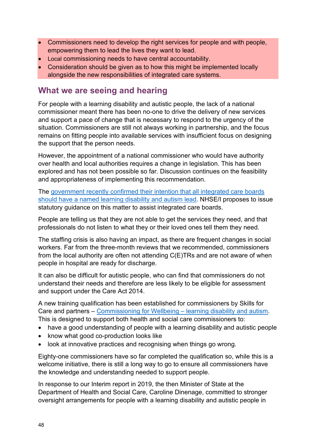- Commissioners need to develop the right services for people and with people, empowering them to lead the lives they want to lead.
- Local commissioning needs to have central accountability.
- Consideration should be given as to how this might be implemented locally alongside the new responsibilities of integrated care systems.

## **What we are seeing and hearing**

For people with a learning disability and autistic people, the lack of a national commissioner meant there has been no-one to drive the delivery of new services and support a pace of change that is necessary to respond to the urgency of the situation. Commissioners are still not always working in partnership, and the focus remains on fitting people into available services with insufficient focus on designing the support that the person needs.

However, the appointment of a national commissioner who would have authority over health and local authorities requires a change in legislation. This has been explored and has not been possible so far. Discussion continues on the feasibility and appropriateness of implementing this recommendation.

The [government recently confirmed their intention that all integrated care boards](https://hansard.parliament.uk/Lords/2022-03-16/debates/84C9B6AA-0214-4CEF-A41D-302373BDC190/HealthAndCareBill#contribution-96E14840-15FB-41EE-A291-430C6A5DA99D)  [should have a named learning disability and autism lead.](https://hansard.parliament.uk/Lords/2022-03-16/debates/84C9B6AA-0214-4CEF-A41D-302373BDC190/HealthAndCareBill#contribution-96E14840-15FB-41EE-A291-430C6A5DA99D) NHSE/I proposes to issue statutory guidance on this matter to assist integrated care boards.

People are telling us that they are not able to get the services they need, and that professionals do not listen to what they or their loved ones tell them they need.

The staffing crisis is also having an impact, as there are frequent changes in social workers. Far from the three-month reviews that we recommended, commissioners from the local authority are often not attending C(E)TRs and are not aware of when people in hospital are ready for discharge.

It can also be difficult for autistic people, who can find that commissioners do not understand their needs and therefore are less likely to be eligible for assessment and support under the Care Act 2014.

A new training qualification has been established for commissioners by Skills for Care and partners – [Commissioning for Wellbeing – learning disability and autism.](https://www.skillsforcare.org.uk/Developing-your-workforce/Qualifications/Level-5-Commissioning-for-Wellbeing-learning-disability-and-autism.aspx) This is designed to support both health and social care commissioners to:

- have a good understanding of people with a learning disability and autistic people
- know what good co-production looks like
- look at innovative practices and recognising when things go wrong.

Eighty-one commissioners have so far completed the qualification so, while this is a welcome initiative, there is still a long way to go to ensure all commissioners have the knowledge and understanding needed to support people.

In response to our Interim report in 2019, the then Minister of State at the Department of Health and Social Care, Caroline Dinenage, committed to stronger oversight arrangements for people with a learning disability and autistic people in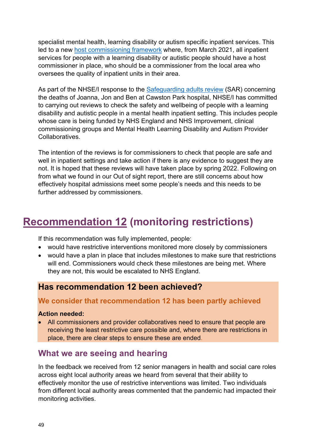specialist mental health, learning disability or autism specific inpatient services. This led to a new [host commissioning framework](https://itservicemanagementcqcorg.sharepoint.com/sites/OutofSightReportDelivery/Shared%20Documents/Progress%20Reports/Drafts/March%202022%20Drafts/ngland.nhs.uk/publication/monitoring-the-quality-of-care-and-safety-for-people-with-a-learning-disability-and-or-people-who-are-autistic-in-inpatient-care/) where, from March 2021, all inpatient services for people with a learning disability or autistic people should have a host commissioner in place, who should be a commissioner from the local area who oversees the quality of inpatient units in their area.

As part of the NHSE/I response to the [Safeguarding adults review](https://www.norfolksafeguardingadultsboard.info/publications-info-resources/safeguarding-adults-reviews/joanna-jon-and-ben-published-september-2021/) (SAR) concerning the deaths of Joanna, Jon and Ben at Cawston Park hospital, NHSE/I has committed to carrying out reviews to check the safety and wellbeing of people with a learning disability and autistic people in a mental health inpatient setting. This includes people whose care is being funded by NHS England and NHS Improvement, clinical commissioning groups and Mental Health Learning Disability and Autism Provider Collaboratives.

The intention of the reviews is for commissioners to check that people are safe and well in inpatient settings and take action if there is any evidence to suggest they are not. It is hoped that these reviews will have taken place by spring 2022. Following on from what we found in our Out of sight report, there are still concerns about how effectively hospital admissions meet some people's needs and this needs to be further addressed by commissioners.

## <span id="page-48-0"></span>**Recommendation 12 (monitoring restrictions)**

If this recommendation was fully implemented, people:

- would have restrictive interventions monitored more closely by commissioners
- would have a plan in place that includes milestones to make sure that restrictions will end. Commissioners would check these milestones are being met. Where they are not, this would be escalated to NHS England.

## **Has recommendation 12 been achieved?**

## **We consider that recommendation 12 has been partly achieved**

#### **Action needed:**

 All commissioners and provider collaboratives need to ensure that people are receiving the least restrictive care possible and, where there are restrictions in place, there are clear steps to ensure these are ended.

## **What we are seeing and hearing**

In the feedback we received from 12 senior managers in health and social care roles across eight local authority areas we heard from several that their ability to effectively monitor the use of restrictive interventions was limited. Two individuals from different local authority areas commented that the pandemic had impacted their monitoring activities.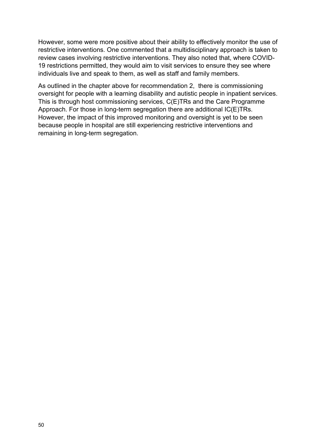However, some were more positive about their ability to effectively monitor the use of restrictive interventions. One commented that a multidisciplinary approach is taken to review cases involving restrictive interventions. They also noted that, where COVID-19 restrictions permitted, they would aim to visit services to ensure they see where individuals live and speak to them, as well as staff and family members.

<span id="page-49-0"></span>As outlined in the chapter above for recommendation 2, there is commissioning oversight for people with a learning disability and autistic people in inpatient services. This is through host commissioning services, C(E)TRs and the Care Programme Approach. For those in long-term segregation there are additional IC(E)TRs. However, the impact of this improved monitoring and oversight is yet to be seen because people in hospital are still experiencing restrictive interventions and remaining in long-term segregation.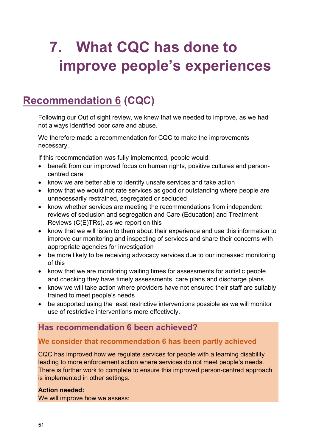# **7. What CQC has done to improve people's experiences**

# <span id="page-50-0"></span>**Recommendation 6 (CQC)**

Following our Out of sight review, we knew that we needed to improve, as we had not always identified poor care and abuse.

We therefore made a recommendation for CQC to make the improvements necessary.

If this recommendation was fully implemented, people would:

- benefit from our improved focus on human rights, positive cultures and personcentred care
- know we are better able to identify unsafe services and take action
- know that we would not rate services as good or outstanding where people are unnecessarily restrained, segregated or secluded
- know whether services are meeting the recommendations from independent reviews of seclusion and segregation and Care (Education) and Treatment Reviews (C(E)TRs), as we report on this
- know that we will listen to them about their experience and use this information to improve our monitoring and inspecting of services and share their concerns with appropriate agencies for investigation
- be more likely to be receiving advocacy services due to our increased monitoring of this
- know that we are monitoring waiting times for assessments for autistic people and checking they have timely assessments, care plans and discharge plans
- know we will take action where providers have not ensured their staff are suitably trained to meet people's needs
- be supported using the least restrictive interventions possible as we will monitor use of restrictive interventions more effectively.

## **Has recommendation 6 been achieved?**

## **We consider that recommendation 6 has been partly achieved**

CQC has improved how we regulate services for people with a learning disability leading to more enforcement action where services do not meet people's needs. There is further work to complete to ensure this improved person-centred approach is implemented in other settings.

#### **Action needed:**

We will improve how we assess: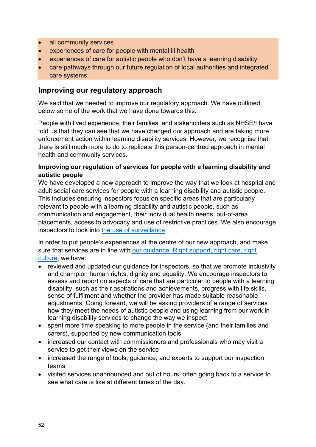- all community services
- experiences of care for people with mental ill health
- experiences of care for autistic people who don't have a learning disability
- care pathways through our future regulation of local authorities and integrated care systems.

#### **Improving our regulatory approach**

We said that we needed to improve our regulatory approach. We have outlined below some of the work that we have done towards this.

People with lived experience, their families, and stakeholders such as NHSE/I have told us that they can see that we have changed our approach and are taking more enforcement action within learning disability services. However, we recognise that there is still much more to do to replicate this person-centred approach in mental health and community services.

#### **Improving our regulation of services for people with a learning disability and autistic people**

We have developed a new approach to improve the way that we look at hospital and adult social care services for people with a learning disability and autistic people. This includes ensuring inspectors focus on specific areas that are particularly relevant to people with a learning disability and autistic people, such as communication and engagement, their individual health needs, out-of-area placements, access to advocacy and use of restrictive practices. We also encourage inspectors to look into [the use of surveillance.](http://intranetplus.cqc.local/Registration%20and%20Compliance/Compliance/Enforcement/Guidance%20and%20templates/20211101%20Inspector%20Surveillance%20Guidance.docx)

In order to put people's experiences at the centre of our new approach, and make sure that services are in line with [our guidance, Right support, right care, right](https://www.cqc.org.uk/guidance-providers/autistic-people-learning-disability/right-support-right-care-right-culture)  [culture,](https://www.cqc.org.uk/guidance-providers/autistic-people-learning-disability/right-support-right-care-right-culture) we have:

- reviewed and updated our guidance for inspectors, so that we promote inclusivity and champion human rights, dignity and equality. We encourage inspectors to assess and report on aspects of care that are particular to people with a learning disability, such as their aspirations and achievements, progress with life skills, sense of fulfilment and whether the provider has made suitable reasonable adjustments. Going forward, we will be asking providers of a range of services how they meet the needs of autistic people and using learning from our work in learning disability services to change the way we inspect
- spent more time speaking to more people in the service (and their families and carers), supported by new communication tools
- increased our contact with commissioners and professionals who may visit a service to get their views on the service
- increased the range of tools, guidance, and experts to support our inspection teams
- visited services unannounced and out of hours, often going back to a service to see what care is like at different times of the day.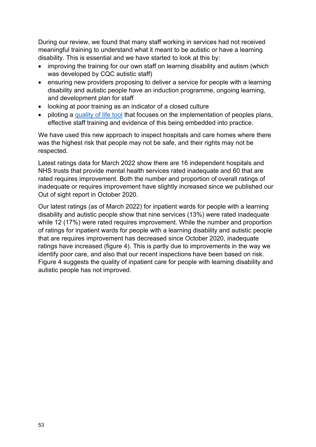During our review, we found that many staff working in services had not received meaningful training to understand what it meant to be autistic or have a learning disability. This is essential and we have started to look at this by:

- improving the training for our own staff on learning disability and autism (which was developed by CQC autistic staff)
- ensuring new providers proposing to deliver a service for people with a learning disability and autistic people have an induction programme, ongoing learning, and development plan for staff
- looking at poor training as an indicator of a closed culture
- piloting a [quality of life tool](https://www.cqc.org.uk/guidance-providers/autistic-people-learning-disability/quality-life-tool) that focuses on the implementation of peoples plans, effective staff training and evidence of this being embedded into practice.

We have used this new approach to inspect hospitals and care homes where there was the highest risk that people may not be safe, and their rights may not be respected.

Latest ratings data for March 2022 show there are 16 independent hospitals and NHS trusts that provide mental health services rated inadequate and 60 that are rated requires improvement. Both the number and proportion of overall ratings of inadequate or requires improvement have slightly increased since we published our Out of sight report in October 2020.

Our latest ratings (as of March 2022) for inpatient wards for people with a learning disability and autistic people show that nine services (13%) were rated inadequate while 12 (17%) were rated requires improvement. While the number and proportion of ratings for inpatient wards for people with a learning disability and autistic people that are requires improvement has decreased since October 2020, inadequate ratings have increased (figure 4). This is partly due to improvements in the way we identify poor care, and also that our recent inspections have been based on risk. Figure 4 suggests the quality of inpatient care for people with learning disability and autistic people has not improved.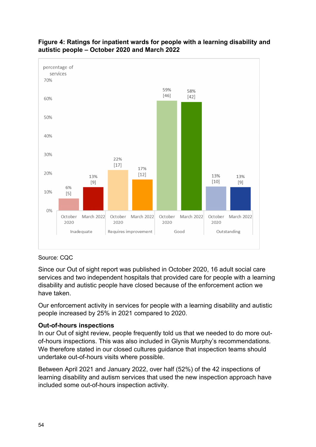

#### **Figure 4: Ratings for inpatient wards for people with a learning disability and autistic people – October 2020 and March 2022**

#### Source: CQC

Since our Out of sight report was published in October 2020, 16 adult social care services and two independent hospitals that provided care for people with a learning disability and autistic people have closed because of the enforcement action we have taken.

Our enforcement activity in services for people with a learning disability and autistic people increased by 25% in 2021 compared to 2020.

#### **Out-of-hours inspections**

In our Out of sight review, people frequently told us that we needed to do more outof-hours inspections. This was also included in Glynis Murphy's recommendations. We therefore stated in our closed cultures guidance that inspection teams should undertake out-of-hours visits where possible.

Between April 2021 and January 2022, over half (52%) of the 42 inspections of learning disability and autism services that used the new inspection approach have included some out-of-hours inspection activity.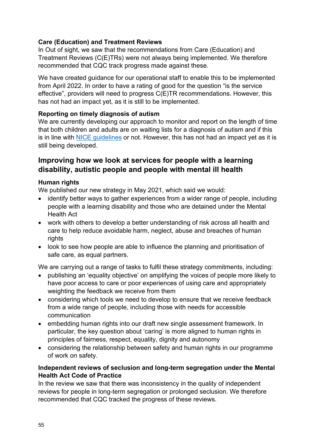#### **Care (Education) and Treatment Reviews**

In Out of sight, we saw that the recommendations from Care (Education) and Treatment Reviews (C(E)TRs) were not always being implemented. We therefore recommended that CQC track progress made against these.

We have created guidance for our operational staff to enable this to be implemented from April 2022. In order to have a rating of good for the question "is the service effective", providers will need to progress C(E)TR recommendations. However, this has not had an impact yet, as it is still to be implemented.

#### **Reporting on timely diagnosis of autism**

We are currently developing our approach to monitor and report on the length of time that both children and adults are on waiting lists for a diagnosis of autism and if this is in line with [NICE guidelines](https://www.nice.org.uk/about/nice-communities/social-care/quick-guides/assessment-and-diagnosis-of-autism-what-to-expect) or not. However, this has not had an impact yet as it is still being developed.

#### **Improving how we look at services for people with a learning disability, autistic people and people with mental ill health**

#### **Human rights**

We published our new strategy in May 2021, which said we would:

- identify better ways to gather experiences from a wider range of people, including people with a learning disability and those who are detained under the Mental Health Act
- work with others to develop a better understanding of risk across all health and care to help reduce avoidable harm, neglect, abuse and breaches of human rights
- look to see how people are able to influence the planning and prioritisation of safe care, as equal partners.

We are carrying out a range of tasks to fulfil these strategy commitments, including:

- publishing an 'equality objective' on amplifying the voices of people more likely to have poor access to care or poor experiences of using care and appropriately weighting the feedback we receive from them
- considering which tools we need to develop to ensure that we receive feedback from a wide range of people, including those with needs for accessible communication
- embedding human rights into our draft new single assessment framework. In particular, the key question about 'caring' is more aligned to human rights in principles of fairness, respect, equality, dignity and autonomy
- considering the relationship between safety and human rights in our programme of work on safety.

#### **Independent reviews of seclusion and long-term segregation under the Mental Health Act Code of Practice**

In the review we saw that there was inconsistency in the quality of independent reviews for people in long-term segregation or prolonged seclusion. We therefore recommended that CQC tracked the progress of these reviews.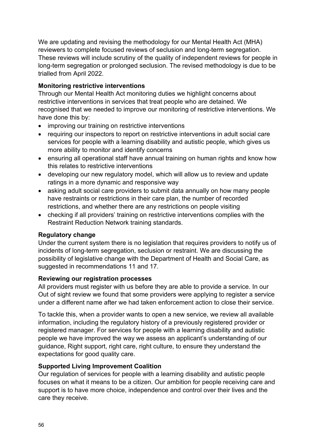We are updating and revising the methodology for our Mental Health Act (MHA) reviewers to complete focused reviews of seclusion and long-term segregation. These reviews will include scrutiny of the quality of independent reviews for people in long-term segregation or prolonged seclusion. The revised methodology is due to be trialled from April 2022.

#### **Monitoring restrictive interventions**

Through our Mental Health Act monitoring duties we highlight concerns about restrictive interventions in services that treat people who are detained. We recognised that we needed to improve our monitoring of restrictive interventions. We have done this by:

- improving our training on restrictive interventions
- requiring our inspectors to report on restrictive interventions in adult social care services for people with a learning disability and autistic people, which gives us more ability to monitor and identify concerns
- ensuring all operational staff have annual training on human rights and know how this relates to restrictive interventions
- developing our new regulatory model, which will allow us to review and update ratings in a more dynamic and responsive way
- asking adult social care providers to submit data annually on how many people have restraints or restrictions in their care plan, the number of recorded restrictions, and whether there are any restrictions on people visiting
- checking if all providers' training on restrictive interventions complies with the Restraint Reduction Network training standards.

#### **Regulatory change**

Under the current system there is no legislation that requires providers to notify us of incidents of long-term segregation, seclusion or restraint. We are discussing the possibility of legislative change with the Department of Health and Social Care, as suggested in recommendations 11 and 17.

#### **Reviewing our registration processes**

All providers must register with us before they are able to provide a service. In our Out of sight review we found that some providers were applying to register a service under a different name after we had taken enforcement action to close their service.

To tackle this, when a provider wants to open a new service, we review all available information, including the regulatory history of a previously registered provider or registered manager. For services for people with a learning disability and autistic people we have improved the way we assess an applicant's understanding of our guidance, Right support, right care, right culture, to ensure they understand the expectations for good quality care.

#### **Supported Living Improvement Coalition**

Our regulation of services for people with a learning disability and autistic people focuses on what it means to be a citizen. Our ambition for people receiving care and support is to have more choice, independence and control over their lives and the care they receive.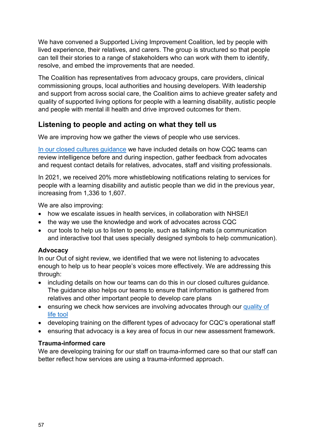We have convened a Supported Living Improvement Coalition, led by people with lived experience, their relatives, and carers. The group is structured so that people can tell their stories to a range of stakeholders who can work with them to identify, resolve, and embed the improvements that are needed.

The Coalition has representatives from advocacy groups, care providers, clinical commissioning groups, local authorities and housing developers. With leadership and support from across social care, the Coalition aims to achieve greater safety and quality of supported living options for people with a learning disability, autistic people and people with mental ill health and drive improved outcomes for them.

## **Listening to people and acting on what they tell us**

We are improving how we gather the views of people who use services.

[In our closed cultures guidance](https://www.cqc.org.uk/sites/default/files/20200623_closedcultures_guidance.pdf) we have included details on how CQC teams can review intelligence before and during inspection, gather feedback from advocates and request contact details for relatives, advocates, staff and visiting professionals.

In 2021, we received 20% more whistleblowing notifications relating to services for people with a learning disability and autistic people than we did in the previous year, increasing from 1,336 to 1,607.

We are also improving:

- how we escalate issues in health services, in collaboration with NHSE/I
- the way we use the knowledge and work of advocates across CQC
- our tools to help us to listen to people, such as talking mats (a communication and interactive tool that uses specially designed symbols to help communication).

#### **Advocacy**

In our Out of sight review, we identified that we were not listening to advocates enough to help us to hear people's voices more effectively. We are addressing this through:

- including details on how our teams can do this in our closed cultures quidance. The guidance also helps our teams to ensure that information is gathered from relatives and other important people to develop care plans
- ensuring we check how services are involving advocates through our [quality of](https://www.cqc.org.uk/guidance-providers/autistic-people-learning-disability/quality-life-tool)  [life tool](https://www.cqc.org.uk/guidance-providers/autistic-people-learning-disability/quality-life-tool)
- developing training on the different types of advocacy for CQC's operational staff
- ensuring that advocacy is a key area of focus in our new assessment framework.

#### **Trauma-informed care**

We are developing training for our staff on trauma-informed care so that our staff can better reflect how services are using a trauma-informed approach.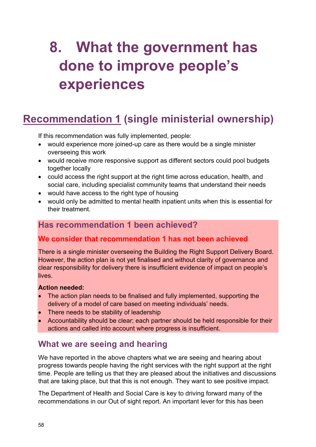# <span id="page-57-0"></span>**8. What the government has done to improve people's experiences**

# <span id="page-57-1"></span>**Recommendation 1 (single ministerial ownership)**

If this recommendation was fully implemented, people:

- would experience more joined-up care as there would be a single minister overseeing this work
- would receive more responsive support as different sectors could pool budgets together locally
- could access the right support at the right time across education, health, and social care, including specialist community teams that understand their needs
- would have access to the right type of housing
- would only be admitted to mental health inpatient units when this is essential for their treatment.

## **Has recommendation 1 been achieved?**

#### **We consider that recommendation 1 has not been achieved**

There is a single minister overseeing the Building the Right Support Delivery Board. However, the action plan is not yet finalised and without clarity of governance and clear responsibility for delivery there is insufficient evidence of impact on people's lives.

#### **Action needed:**

- The action plan needs to be finalised and fully implemented, supporting the delivery of a model of care based on meeting individuals' needs.
- There needs to be stability of leadership
- Accountability should be clear; each partner should be held responsible for their actions and called into account where progress is insufficient.

## **What we are seeing and hearing**

We have reported in the above chapters what we are seeing and hearing about progress towards people having the right services with the right support at the right time. People are telling us that they are pleased about the initiatives and discussions that are taking place, but that this is not enough. They want to see positive impact.

The Department of Health and Social Care is key to driving forward many of the recommendations in our Out of sight report. An important lever for this has been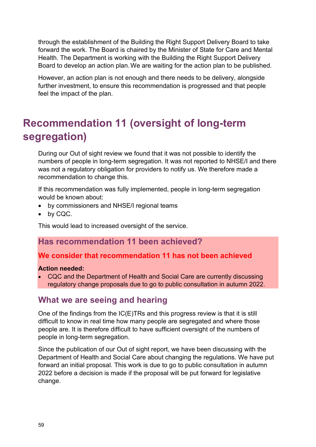through the establishment of the Building the Right Support Delivery Board to take forward the work. The Board is chaired by the Minister of State for Care and Mental Health. The Department is working with the Building the Right Support Delivery Board to develop an action plan.We are waiting for the action plan to be published.

However, an action plan is not enough and there needs to be delivery, alongside further investment, to ensure this recommendation is progressed and that people feel the impact of the plan.

# <span id="page-58-0"></span>**Recommendation 11 (oversight of long-term segregation)**

During our Out of sight review we found that it was not possible to identify the numbers of people in long-term segregation. It was not reported to NHSE/I and there was not a regulatory obligation for providers to notify us. We therefore made a recommendation to change this.

If this recommendation was fully implemented, people in long-term segregation would be known about:

- by commissioners and NHSE/I regional teams
- by CQC.

This would lead to increased oversight of the service.

## **Has recommendation 11 been achieved?**

#### **We consider that recommendation 11 has not been achieved**

#### **Action needed:**

• CQC and the Department of Health and Social Care are currently discussing regulatory change proposals due to go to public consultation in autumn 2022.

## **What we are seeing and hearing**

One of the findings from the IC(E)TRs and this progress review is that it is still difficult to know in real time how many people are segregated and where those people are. It is therefore difficult to have sufficient oversight of the numbers of people in long-term segregation.

Since the publication of our Out of sight report, we have been discussing with the Department of Health and Social Care about changing the regulations. We have put forward an initial proposal. This work is due to go to public consultation in autumn 2022 before a decision is made if the proposal will be put forward for legislative change.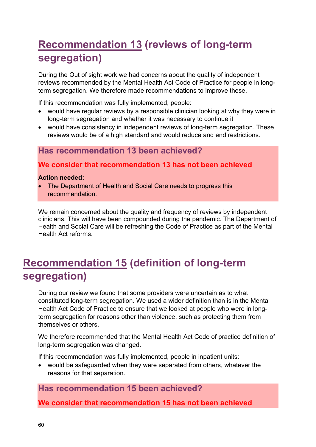# <span id="page-59-0"></span>**Recommendation 13 (reviews of long-term segregation)**

During the Out of sight work we had concerns about the quality of independent reviews recommended by the Mental Health Act Code of Practice for people in longterm segregation. We therefore made recommendations to improve these.

If this recommendation was fully implemented, people:

- would have regular reviews by a responsible clinician looking at why they were in long-term segregation and whether it was necessary to continue it
- would have consistency in independent reviews of long-term segregation. These reviews would be of a high standard and would reduce and end restrictions.

## **Has recommendation 13 been achieved?**

## **We consider that recommendation 13 has not been achieved**

#### **Action needed:**

• The Department of Health and Social Care needs to progress this recommendation.

We remain concerned about the quality and frequency of reviews by independent clinicians. This will have been compounded during the pandemic. The Department of Health and Social Care will be refreshing the Code of Practice as part of the Mental Health Act reforms.

# <span id="page-59-1"></span>**Recommendation 15 (definition of long-term segregation)**

During our review we found that some providers were uncertain as to what constituted long-term segregation. We used a wider definition than is in the Mental Health Act Code of Practice to ensure that we looked at people who were in longterm segregation for reasons other than violence, such as protecting them from themselves or others.

We therefore recommended that the Mental Health Act Code of practice definition of long-term segregation was changed.

If this recommendation was fully implemented, people in inpatient units:

 would be safeguarded when they were separated from others, whatever the reasons for that separation.

## **Has recommendation 15 been achieved?**

**We consider that recommendation 15 has not been achieved**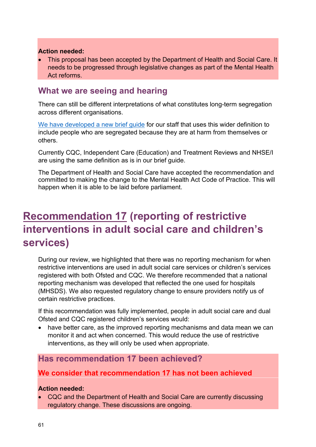#### **Action needed:**

 This proposal has been accepted by the Department of Health and Social Care. It needs to be progressed through legislative changes as part of the Mental Health Act reforms.

## **What we are seeing and hearing**

There can still be different interpretations of what constitutes long-term segregation across different organisations.

[We have developed a new brief guide](https://www.cqc.org.uk/sites/default/files/20200824_9001307_brief-guide_long-term-segregation_v3_0.pdf) for our staff that uses this wider definition to include people who are segregated because they are at harm from themselves or others.

Currently CQC, Independent Care (Education) and Treatment Reviews and NHSE/I are using the same definition as is in our brief guide.

The Department of Health and Social Care have accepted the recommendation and committed to making the change to the Mental Health Act Code of Practice. This will happen when it is able to be laid before parliament.

# <span id="page-60-0"></span>**Recommendation 17 (reporting of restrictive interventions in adult social care and children's services)**

During our review, we highlighted that there was no reporting mechanism for when restrictive interventions are used in adult social care services or children's services registered with both Ofsted and CQC. We therefore recommended that a national reporting mechanism was developed that reflected the one used for hospitals (MHSDS). We also requested regulatory change to ensure providers notify us of certain restrictive practices.

If this recommendation was fully implemented, people in adult social care and dual Ofsted and CQC registered children's services would:

 have better care, as the improved reporting mechanisms and data mean we can monitor it and act when concerned. This would reduce the use of restrictive interventions, as they will only be used when appropriate.

## **Has recommendation 17 been achieved?**

## **We consider that recommendation 17 has not been achieved**

#### **Action needed:**

 CQC and the Department of Health and Social Care are currently discussing regulatory change. These discussions are ongoing.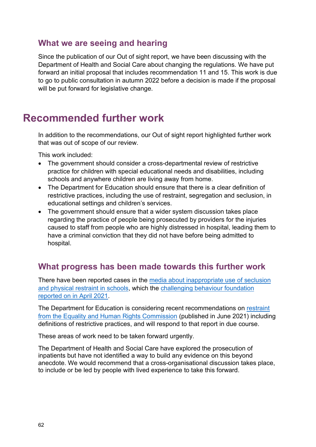## **What we are seeing and hearing**

Since the publication of our Out of sight report, we have been discussing with the Department of Health and Social Care about changing the regulations. We have put forward an initial proposal that includes recommendation 11 and 15. This work is due to go to public consultation in autumn 2022 before a decision is made if the proposal will be put forward for legislative change.

## <span id="page-61-0"></span>**Recommended further work**

In addition to the recommendations, our Out of sight report highlighted further work that was out of scope of our review.

This work included:

- The government should consider a cross-departmental review of restrictive practice for children with special educational needs and disabilities, including schools and anywhere children are living away from home.
- The Department for Education should ensure that there is a clear definition of restrictive practices, including the use of restraint, segregation and seclusion, in educational settings and children's services.
- The government should ensure that a wider system discussion takes place regarding the practice of people being prosecuted by providers for the injuries caused to staff from people who are highly distressed in hospital, leading them to have a criminal conviction that they did not have before being admitted to hospital.

## **What progress has been made towards this further work**

There have been reported cases in the [media about inappropriate use of seclusion](https://gbr01.safelinks.protection.outlook.com/?url=https%3A%2F%2Fwww.bbc.co.uk%2Fnews%2Fuk-58885635&data=04%7C01%7CAlison.Carpenter%40cqc.org.uk%7Cc278736f4298462bb36408da08da1e27%7Ca55dcab8ce6645eaab3f65bc2b07b5d3%7C1%7C0%7C637832030147720556%7CUnknown%7CTWFpbGZsb3d8eyJWIjoiMC4wLjAwMDAiLCJQIjoiV2luMzIiLCJBTiI6Ik1haWwiLCJXVCI6Mn0%3D%7C3000&sdata=6lIDPYeSUSj5QAHrzdUO9GNyKwHgAmoZdNFmIqPwA5M%3D&reserved=0)  [and physical restraint in schools,](https://gbr01.safelinks.protection.outlook.com/?url=https%3A%2F%2Fwww.bbc.co.uk%2Fnews%2Fuk-58885635&data=04%7C01%7CAlison.Carpenter%40cqc.org.uk%7Cc278736f4298462bb36408da08da1e27%7Ca55dcab8ce6645eaab3f65bc2b07b5d3%7C1%7C0%7C637832030147720556%7CUnknown%7CTWFpbGZsb3d8eyJWIjoiMC4wLjAwMDAiLCJQIjoiV2luMzIiLCJBTiI6Ik1haWwiLCJXVCI6Mn0%3D%7C3000&sdata=6lIDPYeSUSj5QAHrzdUO9GNyKwHgAmoZdNFmIqPwA5M%3D&reserved=0) which the [challenging behaviour foundation](https://gbr01.safelinks.protection.outlook.com/?url=https%3A%2F%2Fwww.challengingbehaviour.org.uk%2Fnews%2Fchallenging-behaviour-foundation-statement-on-restraint-and-seclusion-in-schools%2F&data=04%7C01%7CAlison.Carpenter%40cqc.org.uk%7Cc278736f4298462bb36408da08da1e27%7Ca55dcab8ce6645eaab3f65bc2b07b5d3%7C1%7C0%7C637832030147720556%7CUnknown%7CTWFpbGZsb3d8eyJWIjoiMC4wLjAwMDAiLCJQIjoiV2luMzIiLCJBTiI6Ik1haWwiLCJXVCI6Mn0%3D%7C3000&sdata=K%2FtRKIFbdsDFGWgBkWr%2BU2PDTDepjjxtK1ZsQE11Tzw%3D&reserved=0)  [reported on in April 2021.](https://gbr01.safelinks.protection.outlook.com/?url=https%3A%2F%2Fwww.challengingbehaviour.org.uk%2Fnews%2Fchallenging-behaviour-foundation-statement-on-restraint-and-seclusion-in-schools%2F&data=04%7C01%7CAlison.Carpenter%40cqc.org.uk%7Cc278736f4298462bb36408da08da1e27%7Ca55dcab8ce6645eaab3f65bc2b07b5d3%7C1%7C0%7C637832030147720556%7CUnknown%7CTWFpbGZsb3d8eyJWIjoiMC4wLjAwMDAiLCJQIjoiV2luMzIiLCJBTiI6Ik1haWwiLCJXVCI6Mn0%3D%7C3000&sdata=K%2FtRKIFbdsDFGWgBkWr%2BU2PDTDepjjxtK1ZsQE11Tzw%3D&reserved=0)

The Department for Education is considering recent recommendations on [restraint](https://gbr01.safelinks.protection.outlook.com/?url=https%3A%2F%2Fwww.equalityhumanrights.com%2Fen%2Fpublication-download%2Frestraint-schools-inquiry-using-meaningful-data-protect-childrens-rights&data=04%7C01%7CAlison.Carpenter%40cqc.org.uk%7Cc278736f4298462bb36408da08da1e27%7Ca55dcab8ce6645eaab3f65bc2b07b5d3%7C1%7C0%7C637832030147720556%7CUnknown%7CTWFpbGZsb3d8eyJWIjoiMC4wLjAwMDAiLCJQIjoiV2luMzIiLCJBTiI6Ik1haWwiLCJXVCI6Mn0%3D%7C3000&sdata=uQ7VOzcsg8YRmE5II7vIgVvMQNpG4%2Fy345i%2BlRtwQFM%3D&reserved=0)  [from the Equality and Human Rights Commission](https://gbr01.safelinks.protection.outlook.com/?url=https%3A%2F%2Fwww.equalityhumanrights.com%2Fen%2Fpublication-download%2Frestraint-schools-inquiry-using-meaningful-data-protect-childrens-rights&data=04%7C01%7CAlison.Carpenter%40cqc.org.uk%7Cc278736f4298462bb36408da08da1e27%7Ca55dcab8ce6645eaab3f65bc2b07b5d3%7C1%7C0%7C637832030147720556%7CUnknown%7CTWFpbGZsb3d8eyJWIjoiMC4wLjAwMDAiLCJQIjoiV2luMzIiLCJBTiI6Ik1haWwiLCJXVCI6Mn0%3D%7C3000&sdata=uQ7VOzcsg8YRmE5II7vIgVvMQNpG4%2Fy345i%2BlRtwQFM%3D&reserved=0) (published in June 2021) including definitions of restrictive practices, and will respond to that report in due course.

These areas of work need to be taken forward urgently.

The Department of Health and Social Care have explored the prosecution of inpatients but have not identified a way to build any evidence on this beyond anecdote. We would recommend that a cross-organisational discussion takes place, to include or be led by people with lived experience to take this forward.